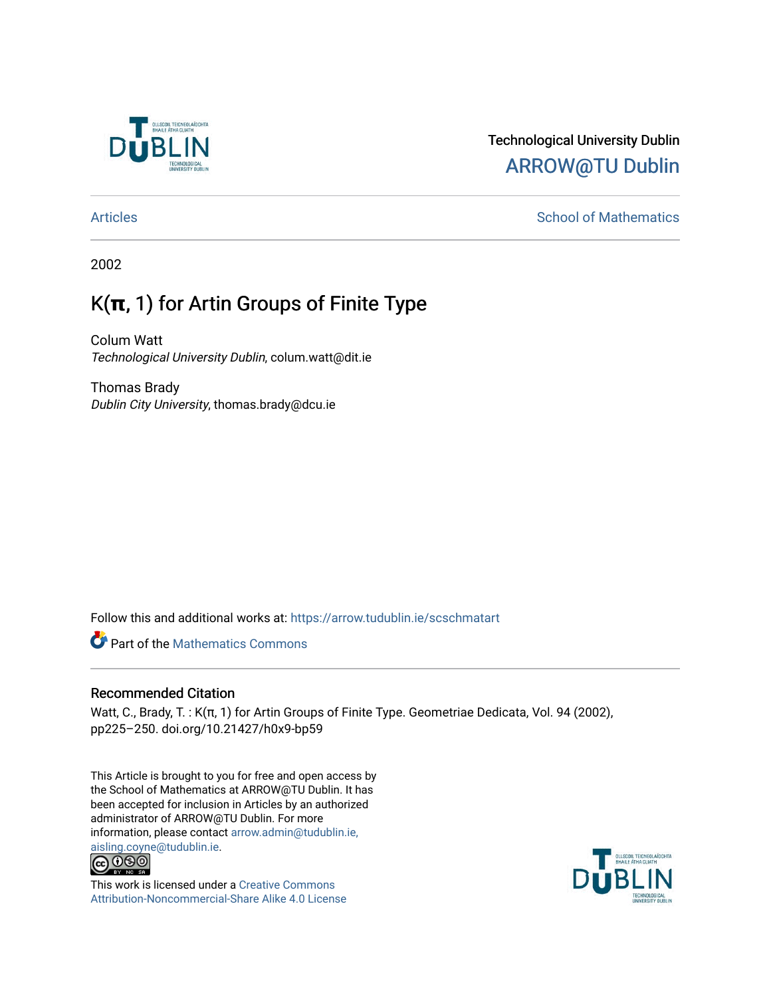

# Technological University Dublin [ARROW@TU Dublin](https://arrow.tudublin.ie/)

# [Articles](https://arrow.tudublin.ie/scschmatart) **School of Mathematics** School of Mathematics

2002

# K(**π**, 1) for Artin Groups of Finite Type

Colum Watt Technological University Dublin, colum.watt@dit.ie

Thomas Brady Dublin City University, thomas.brady@dcu.ie

Follow this and additional works at: [https://arrow.tudublin.ie/scschmatart](https://arrow.tudublin.ie/scschmatart?utm_source=arrow.tudublin.ie%2Fscschmatart%2F151&utm_medium=PDF&utm_campaign=PDFCoverPages)

**P** Part of the [Mathematics Commons](http://network.bepress.com/hgg/discipline/174?utm_source=arrow.tudublin.ie%2Fscschmatart%2F151&utm_medium=PDF&utm_campaign=PDFCoverPages)

# Recommended Citation

Watt, C., Brady, T. : K(π, 1) for Artin Groups of Finite Type. Geometriae Dedicata, Vol. 94 (2002), pp225–250. doi.org/10.21427/h0x9-bp59

This Article is brought to you for free and open access by the School of Mathematics at ARROW@TU Dublin. It has been accepted for inclusion in Articles by an authorized administrator of ARROW@TU Dublin. For more information, please contact [arrow.admin@tudublin.ie,](mailto:arrow.admin@tudublin.ie,%20aisling.coyne@tudublin.ie)  [aisling.coyne@tudublin.ie.](mailto:arrow.admin@tudublin.ie,%20aisling.coyne@tudublin.ie)<br>© 090



This work is licensed under a [Creative Commons](http://creativecommons.org/licenses/by-nc-sa/4.0/) [Attribution-Noncommercial-Share Alike 4.0 License](http://creativecommons.org/licenses/by-nc-sa/4.0/)

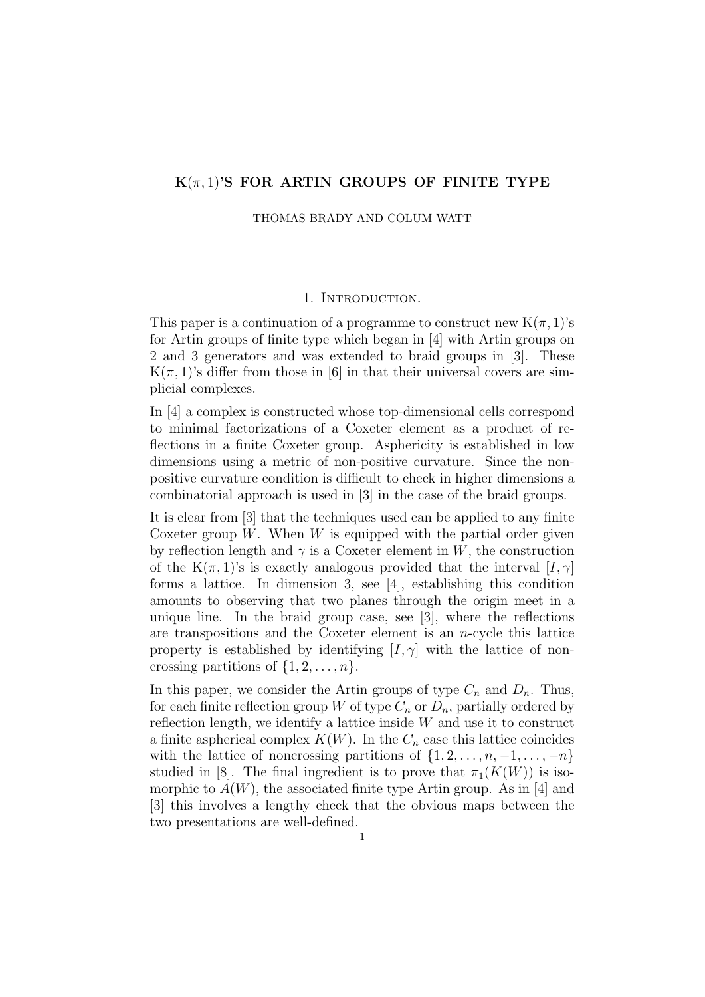# **K**(*π,* 1)**'S FOR ARTIN GROUPS OF FINITE TYPE**

THOMAS BRADY AND COLUM WATT

#### 1. Introduction.

This paper is a continuation of a programme to construct new  $K(\pi, 1)$ 's for Artin groups of finite type which began in [4] with Artin groups on 2 and 3 generators and was extended to braid groups in [3]. These  $K(\pi, 1)$ 's differ from those in [6] in that their universal covers are simplicial complexes.

In [4] a complex is constructed whose top-dimensional cells correspond to minimal factorizations of a Coxeter element as a product of reflections in a finite Coxeter group. Asphericity is established in low dimensions using a metric of non-positive curvature. Since the nonpositive curvature condition is difficult to check in higher dimensions a combinatorial approach is used in [3] in the case of the braid groups.

It is clear from [3] that the techniques used can be applied to any finite Coxeter group  $W$ . When  $W$  is equipped with the partial order given by reflection length and  $\gamma$  is a Coxeter element in *W*, the construction of the K $(\pi, 1)$ 's is exactly analogous provided that the interval  $[I, \gamma]$ forms a lattice. In dimension 3, see [4], establishing this condition amounts to observing that two planes through the origin meet in a unique line. In the braid group case, see [3], where the reflections are transpositions and the Coxeter element is an *n*-cycle this lattice property is established by identifying  $[I, \gamma]$  with the lattice of noncrossing partitions of  $\{1, 2, \ldots, n\}$ .

In this paper, we consider the Artin groups of type  $C_n$  and  $D_n$ . Thus, for each finite reflection group *W* of type  $C_n$  or  $D_n$ , partially ordered by reflection length, we identify a lattice inside *W* and use it to construct a finite aspherical complex  $K(W)$ . In the  $C_n$  case this lattice coincides with the lattice of noncrossing partitions of  $\{1, 2, \ldots, n, -1, \ldots, -n\}$ studied in [8]. The final ingredient is to prove that  $\pi_1(K(W))$  is isomorphic to  $A(W)$ , the associated finite type Artin group. As in [4] and [3] this involves a lengthy check that the obvious maps between the two presentations are well-defined.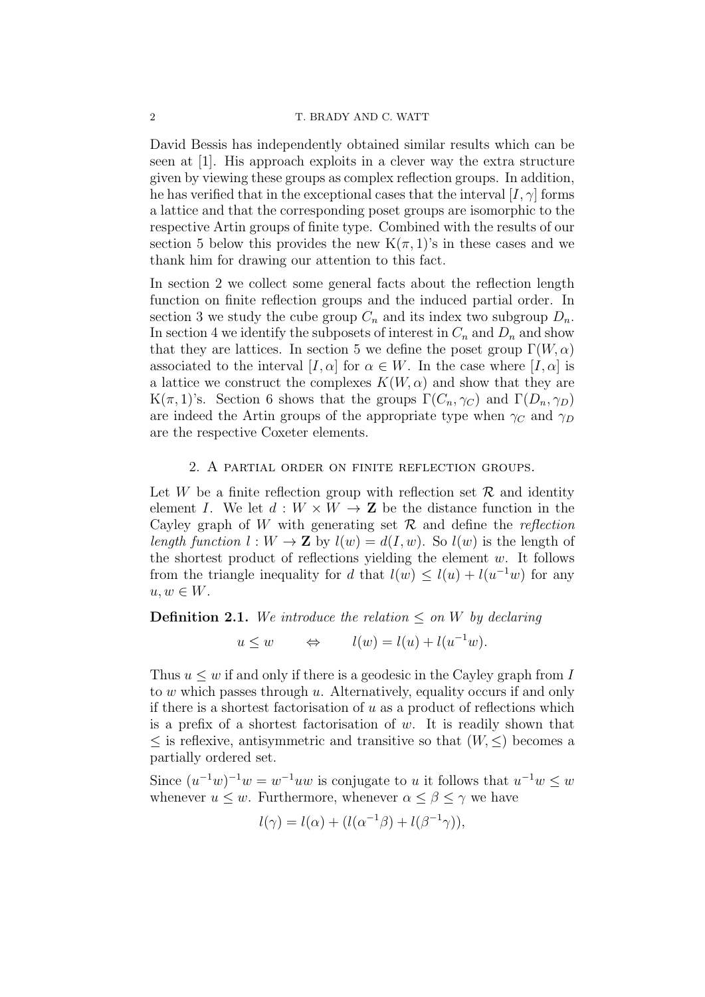David Bessis has independently obtained similar results which can be seen at [1]. His approach exploits in a clever way the extra structure given by viewing these groups as complex reflection groups. In addition, he has verified that in the exceptional cases that the interval  $[I, \gamma]$  forms a lattice and that the corresponding poset groups are isomorphic to the respective Artin groups of finite type. Combined with the results of our section 5 below this provides the new  $K(\pi, 1)$ 's in these cases and we thank him for drawing our attention to this fact.

In section 2 we collect some general facts about the reflection length function on finite reflection groups and the induced partial order. In section 3 we study the cube group  $C_n$  and its index two subgroup  $D_n$ . In section 4 we identify the subposets of interest in  $C_n$  and  $D_n$  and show that they are lattices. In section 5 we define the poset group  $\Gamma(W, \alpha)$ associated to the interval  $[I, \alpha]$  for  $\alpha \in W$ . In the case where  $[I, \alpha]$  is a lattice we construct the complexes  $K(W, \alpha)$  and show that they are K(*π*, 1)'s. Section 6 shows that the groups  $\Gamma(C_n, \gamma_C)$  and  $\Gamma(D_n, \gamma_D)$ are indeed the Artin groups of the appropriate type when  $\gamma_C$  and  $\gamma_D$ are the respective Coxeter elements.

#### 2. A partial order on finite reflection groups.

Let *W* be a finite reflection group with reflection set  $\mathcal{R}$  and identity element *I*. We let  $d: W \times W \rightarrow \mathbf{Z}$  be the distance function in the Cayley graph of *W* with generating set *R* and define the *reflection length function*  $l: W \to \mathbf{Z}$  by  $l(w) = d(I, w)$ . So  $l(w)$  is the length of the shortest product of reflections yielding the element *w*. It follows from the triangle inequality for *d* that  $l(w) \leq l(u) + l(u^{-1}w)$  for any  $u, w \in W$ .

## **Definition 2.1.** We introduce the relation  $\leq$  on W by declaring

 $u \leq w \qquad \Leftrightarrow \qquad l(w) = l(u) + l(u^{-1}w).$ 

Thus  $u \leq w$  if and only if there is a geodesic in the Cayley graph from *I* to *w* which passes through *u*. Alternatively, equality occurs if and only if there is a shortest factorisation of *u* as a product of reflections which is a prefix of a shortest factorisation of *w*. It is readily shown that *≤* is reflexive, antisymmetric and transitive so that (*W, ≤*) becomes a partially ordered set.

Since  $(u^{-1}w)^{-1}w = w^{-1}uw$  is conjugate to *u* it follows that  $u^{-1}w \leq w$ whenever  $u \leq w$ . Furthermore, whenever  $\alpha \leq \beta \leq \gamma$  we have

$$
l(\gamma) = l(\alpha) + (l(\alpha^{-1}\beta) + l(\beta^{-1}\gamma)),
$$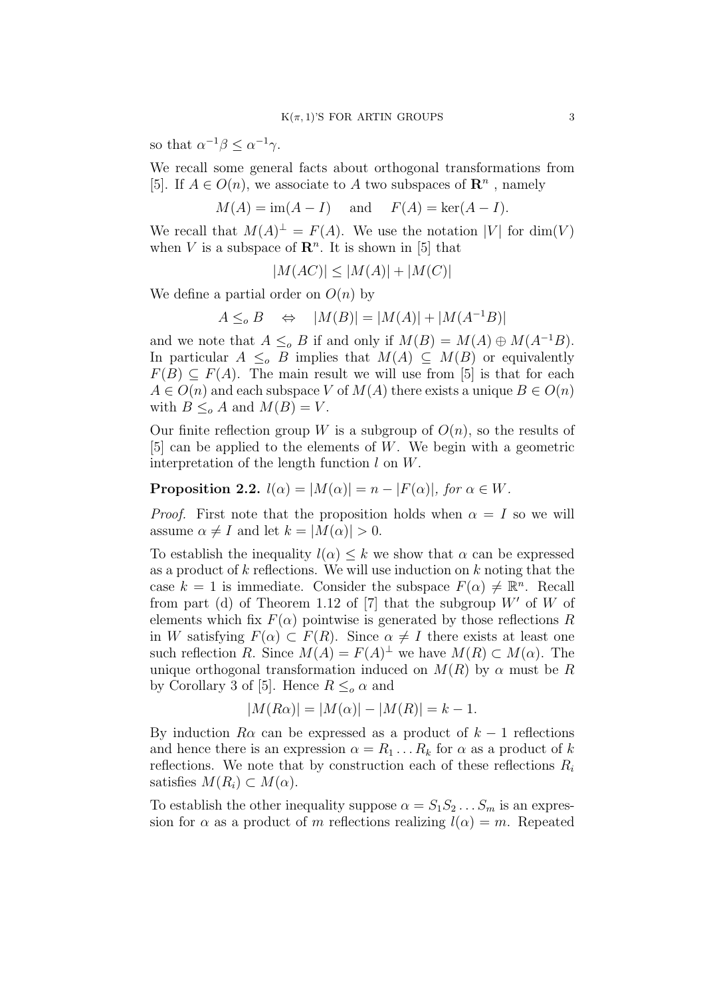so that  $\alpha^{-1}\beta \leq \alpha^{-1}\gamma$ .

We recall some general facts about orthogonal transformations from [5]. If  $A \in O(n)$ , we associate to  $A$  two subspaces of  $\mathbb{R}^n$ , namely

$$
M(A) = \text{im}(A - I) \quad \text{and} \quad F(A) = \text{ker}(A - I).
$$

We recall that  $M(A)^{\perp} = F(A)$ . We use the notation  $|V|$  for  $dim(V)$ when  $V$  is a subspace of  $\mathbb{R}^n$ . It is shown in [5] that

$$
|M(AC)| \le |M(A)| + |M(C)|
$$

We define a partial order on *O*(*n*) by

$$
A \leq_o B \quad \Leftrightarrow \quad |M(B)| = |M(A)| + |M(A^{-1}B)|
$$

and we note that  $A \leq_o B$  if and only if  $M(B) = M(A) \oplus M(A^{-1}B)$ . In particular  $A \leq_o B$  implies that  $M(A) \subseteq M(B)$  or equivalently  $F(B) \subseteq F(A)$ . The main result we will use from [5] is that for each  $A \in O(n)$  and each subspace *V* of  $M(A)$  there exists a unique  $B \in O(n)$ with  $B \leq_{o} A$  and  $M(B) = V$ .

Our finite reflection group *W* is a subgroup of  $O(n)$ , so the results of [5] can be applied to the elements of *W*. We begin with a geometric interpretation of the length function *l* on *W*.

**Proposition 2.2.**  $l(\alpha) = |M(\alpha)| = n - |F(\alpha)|$ , for  $\alpha \in W$ .

*Proof.* First note that the proposition holds when  $\alpha = I$  so we will assume  $\alpha \neq I$  and let  $k = |M(\alpha)| > 0$ .

To establish the inequality  $l(\alpha) \leq k$  we show that  $\alpha$  can be expressed as a product of *k* reflections. We will use induction on *k* noting that the case  $k = 1$  is immediate. Consider the subspace  $F(\alpha) \neq \mathbb{R}^n$ . Recall from part (d) of Theorem 1.12 of [7] that the subgroup *W′* of *W* of elements which fix  $F(\alpha)$  pointwise is generated by those reflections *R* in *W* satisfying  $F(\alpha) \subset F(R)$ . Since  $\alpha \neq I$  there exists at least one such reflection *R*. Since  $M(A) = F(A)^{\perp}$  we have  $M(R) \subset M(\alpha)$ . The unique orthogonal transformation induced on  $M(R)$  by  $\alpha$  must be  $R$ by Corollary 3 of [5]. Hence  $R \leq_o \alpha$  and

$$
|M(R\alpha)| = |M(\alpha)| - |M(R)| = k - 1.
$$

By induction  $R\alpha$  can be expressed as a product of  $k-1$  reflections and hence there is an expression  $\alpha = R_1 \dots R_k$  for  $\alpha$  as a product of *k* reflections. We note that by construction each of these reflections *R<sup>i</sup>* satisfies  $M(R_i) \subset M(\alpha)$ .

To establish the other inequality suppose  $\alpha = S_1 S_2 \dots S_m$  is an expression for  $\alpha$  as a product of *m* reflections realizing  $l(\alpha) = m$ . Repeated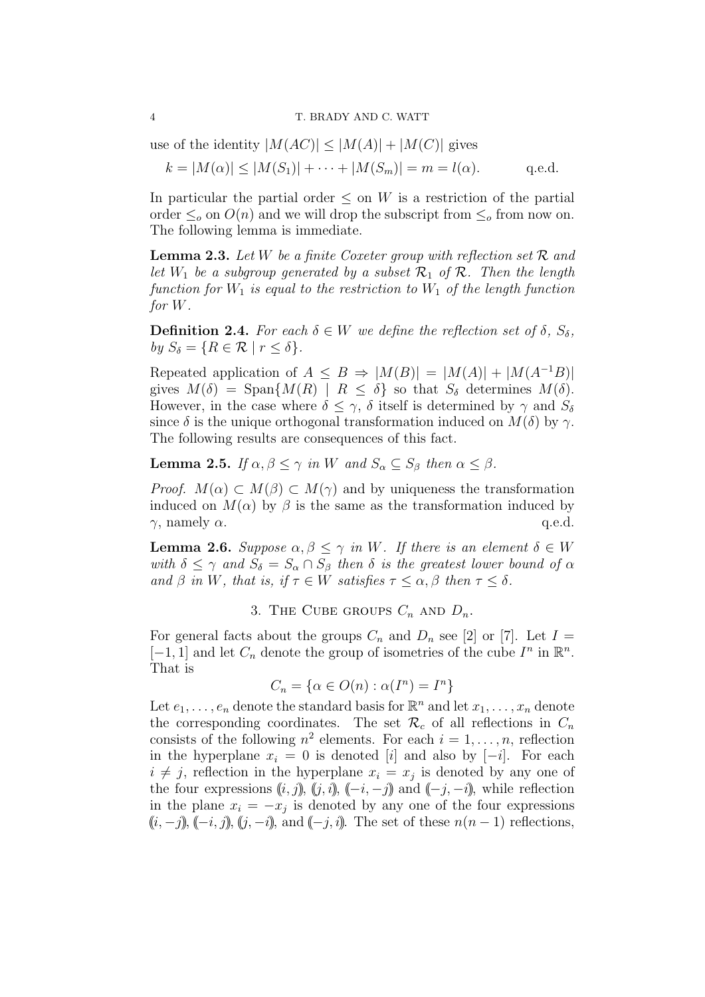#### 4 T. BRADY AND C. WATT

use of the identity 
$$
|M(AC)| \leq |M(A)| + |M(C)|
$$
 gives  $k = |M(\alpha)| \leq |M(S_1)| + \cdots + |M(S_m)| = m = l(\alpha).$  q.e.d.

In particular the partial order  $\leq$  on *W* is a restriction of the partial order  $\leq_o$  on  $O(n)$  and we will drop the subscript from  $\leq_o$  from now on. The following lemma is immediate.

**Lemma 2.3.** *Let W be a finite Coxeter group with reflection set R and let*  $W_1$  *be a subgroup generated by a subset*  $\mathcal{R}_1$  *of*  $\mathcal{R}$ *. Then the length function for*  $W_1$  *is equal to the restriction to*  $W_1$  *of the length function for W.*

**Definition 2.4.** For each  $\delta \in W$  we define the reflection set of  $\delta$ ,  $S_{\delta}$ ,  $by$   $S_{\delta} = \{R \in \mathcal{R} \mid r \leq \delta\}.$ 

Repeated application of  $A \leq B \Rightarrow |M(B)| = |M(A)| + |M(A^{-1}B)|$ gives  $M(\delta) = \text{Span}\{M(R) \mid R \leq \delta\}$  so that  $S_{\delta}$  determines  $M(\delta)$ . However, in the case where  $\delta \leq \gamma$ ,  $\delta$  itself is determined by  $\gamma$  and  $S_{\delta}$ since  $\delta$  is the unique orthogonal transformation induced on  $M(\delta)$  by  $\gamma$ . The following results are consequences of this fact.

**Lemma 2.5.** *If*  $\alpha, \beta \leq \gamma$  *in W and*  $S_{\alpha} \subseteq S_{\beta}$  *then*  $\alpha \leq \beta$ *.* 

*Proof.*  $M(\alpha) \subset M(\beta) \subset M(\gamma)$  and by uniqueness the transformation induced on  $M(\alpha)$  by  $\beta$  is the same as the transformation induced by *γ*, namely *α*.  $q.e.d.$ 

**Lemma 2.6.** *Suppose*  $\alpha, \beta \leq \gamma$  *in W. If there is an element*  $\delta \in W$ *with*  $\delta \leq \gamma$  *and*  $S_{\delta} = S_{\alpha} \cap S_{\beta}$  *then*  $\delta$  *is the greatest lower bound of*  $\alpha$ *and*  $\beta$  *in W, that is, if*  $\tau \in W$  *satisfies*  $\tau \leq \alpha, \beta$  *then*  $\tau \leq \delta$ *.* 

3. THE CUBE GROUPS  $C_n$  AND  $D_n$ .

For general facts about the groups  $C_n$  and  $D_n$  see [2] or [7]. Let  $I =$  $[-1, 1]$  and let  $C_n$  denote the group of isometries of the cube  $I^n$  in  $\mathbb{R}^n$ . That is

$$
C_n = \{ \alpha \in O(n) : \alpha(I^n) = I^n \}
$$

Let  $e_1, \ldots, e_n$  denote the standard basis for  $\mathbb{R}^n$  and let  $x_1, \ldots, x_n$  denote the corresponding coordinates. The set  $\mathcal{R}_c$  of all reflections in  $C_n$ consists of the following  $n^2$  elements. For each  $i = 1, \ldots, n$ , reflection in the hyperplane  $x_i = 0$  is denoted [*i*] and also by [*−i*]. For each  $i \neq j$ , reflection in the hyperplane  $x_i = x_j$  is denoted by any one of the four expressions  $(i, j)$ ,  $(j, i)$ ,  $(-i, -j)$  and  $(-j, -i)$ , while reflection in the plane  $x_i = -x_j$  is denoted by any one of the four expressions  $((i, -j), (-i, j), (j, -i), \text{and } (-j, i)$ . The set of these  $n(n-1)$  reflections,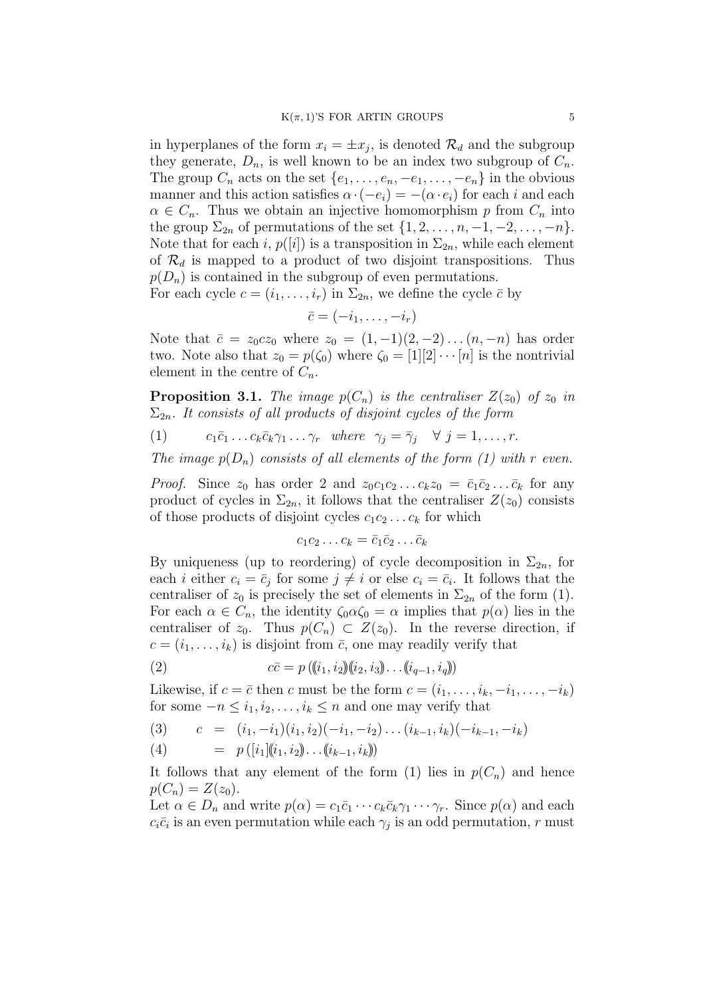in hyperplanes of the form  $x_i = \pm x_j$ , is denoted  $\mathcal{R}_d$  and the subgroup they generate,  $D_n$ , is well known to be an index two subgroup of  $C_n$ . The group  $C_n$  acts on the set  $\{e_1, \ldots, e_n, -e_1, \ldots, -e_n\}$  in the obvious manner and this action satisfies  $\alpha \cdot (-e_i) = -(\alpha \cdot e_i)$  for each *i* and each  $\alpha \in C_n$ . Thus we obtain an injective homomorphism *p* from  $C_n$  into the group  $\Sigma_{2n}$  of permutations of the set  $\{1, 2, \ldots, n, -1, -2, \ldots, -n\}$ . Note that for each *i*,  $p([i])$  is a transposition in  $\Sigma_{2n}$ , while each element of  $\mathcal{R}_d$  is mapped to a product of two disjoint transpositions. Thus  $p(D_n)$  is contained in the subgroup of even permutations.

For each cycle  $c = (i_1, \ldots, i_r)$  in  $\Sigma_{2n}$ , we define the cycle  $\bar{c}$  by

$$
\bar{c}=(-i_1,\ldots,-i_r)
$$

Note that  $\bar{c} = z_0 c z_0$  where  $z_0 = (1, -1)(2, -2) \dots (n, -n)$  has order two. Note also that  $z_0 = p(\zeta_0)$  where  $\zeta_0 = [1][2] \cdots [n]$  is the nontrivial element in the centre of  $C_n$ .

**Proposition 3.1.** *The image*  $p(C_n)$  *is the centraliser*  $Z(z_0)$  *of*  $z_0$  *in* Σ2*n. It consists of all products of disjoint cycles of the form*

(1)  $c_1\bar{c}_1 \ldots c_k\bar{c}_k\gamma_1 \ldots \gamma_r \text{ where } \gamma_j = \bar{\gamma}_j \quad \forall j = 1, \ldots, r.$ 

*The image*  $p(D_n)$  *consists of all elements of the form (1) with r even.* 

*Proof.* Since  $z_0$  has order 2 and  $z_0c_1c_2 \ldots c_kz_0 = \bar{c}_1\bar{c}_2 \ldots \bar{c}_k$  for any product of cycles in  $\Sigma_{2n}$ , it follows that the centraliser  $Z(z_0)$  consists of those products of disjoint cycles  $c_1c_2 \ldots c_k$  for which

$$
c_1c_2\ldots c_k=\bar{c}_1\bar{c}_2\ldots\bar{c}_k
$$

By uniqueness (up to reordering) of cycle decomposition in  $\Sigma_{2n}$ , for each *i* either  $c_i = \bar{c}_j$  for some  $j \neq i$  or else  $c_i = \bar{c}_i$ . It follows that the centraliser of  $z_0$  is precisely the set of elements in  $\Sigma_{2n}$  of the form (1). For each  $\alpha \in C_n$ , the identity  $\zeta_0 \alpha \zeta_0 = \alpha$  implies that  $p(\alpha)$  lies in the centraliser of  $z_0$ . Thus  $p(C_n) \subset Z(z_0)$ . In the reverse direction, if  $c = (i_1, \ldots, i_k)$  is disjoint from  $\bar{c}$ , one may readily verify that

(2) 
$$
c\bar{c} = p((i_1, i_2)(i_2, i_3)\dots(i_{q-1}, i_q))
$$

Likewise, if  $c = \bar{c}$  then  $c$  must be the form  $c = (i_1, \ldots, i_k, -i_1, \ldots, -i_k)$ for some  $-n \leq i_1, i_2, \ldots, i_k \leq n$  and one may verify that

$$
(3) \qquad c = (i_1, -i_1)(i_1, i_2)(-i_1, -i_2)\dots(i_{k-1}, i_k)(-i_{k-1}, -i_k)
$$

(4) = 
$$
p([i_1](i_1, i_2)) \dots ((i_{k-1}, i_k))
$$

It follows that any element of the form (1) lies in  $p(C_n)$  and hence  $p(C_n) = Z(z_0).$ 

Let  $\alpha \in D_n$  and write  $p(\alpha) = c_1 \bar{c}_1 \cdots c_k \bar{c}_k \gamma_1 \cdots \gamma_r$ . Since  $p(\alpha)$  and each  $c_i\bar{c}_i$  is an even permutation while each  $\gamma_j$  is an odd permutation, *r* must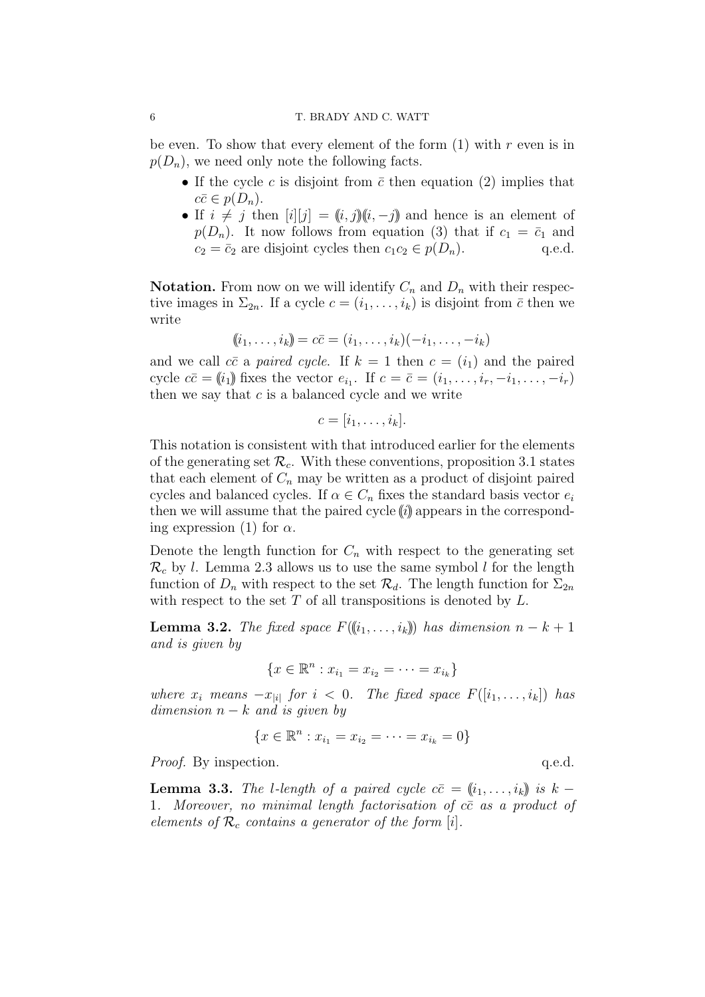#### 6 T. BRADY AND C. WATT

be even. To show that every element of the form (1) with *r* even is in  $p(D_n)$ , we need only note the following facts.

- If the cycle *c* is disjoint from  $\bar{c}$  then equation (2) implies that  $c\bar{c} \in p(D_n).$
- If  $i \neq j$  then  $[i][j] = (i, j)(i, -j)$  and hence is an element of  $p(D_n)$ . It now follows from equation (3) that if  $c_1 = \bar{c}_1$  and  $c_2 = \bar{c}_2$  are disjoint cycles then  $c_1 c_2 \in p(D_n)$ . q.e.d.

**Notation.** From now on we will identify  $C_n$  and  $D_n$  with their respective images in  $\Sigma_{2n}$ . If a cycle  $c = (i_1, \ldots, i_k)$  is disjoint from  $\bar{c}$  then we write

$$
(\!(i_1,\ldots,i_k)\!]=c\bar{c}=(i_1,\ldots,i_k)(-i_1,\ldots,-i_k)
$$

and we call  $c\bar{c}$  a *paired cycle*. If  $k = 1$  then  $c = (i_1)$  and the paired cycle  $c\bar{c} = (i_1)$  fixes the vector  $e_{i_1}$ . If  $c = \bar{c} = (i_1, \ldots, i_r, -i_1, \ldots, -i_r)$ then we say that *c* is a balanced cycle and we write

$$
c=[i_1,\ldots,i_k].
$$

This notation is consistent with that introduced earlier for the elements of the generating set  $\mathcal{R}_c$ . With these conventions, proposition 3.1 states that each element of  $C_n$  may be written as a product of disjoint paired cycles and balanced cycles. If  $\alpha \in C_n$  fixes the standard basis vector  $e_i$ then we will assume that the paired cycle  $(i)$  appears in the corresponding expression (1) for  $\alpha$ .

Denote the length function for  $C_n$  with respect to the generating set  $\mathcal{R}_c$  by *l*. Lemma 2.3 allows us to use the same symbol *l* for the length function of  $D_n$  with respect to the set  $\mathcal{R}_d$ . The length function for  $\Sigma_{2n}$ with respect to the set *T* of all transpositions is denoted by *L*.

**Lemma 3.2.** *The fixed space*  $F(\{(i_1, \ldots, i_k)\})$  *has dimension*  $n - k + 1$ *and is given by*

$$
\{x \in \mathbb{R}^n : x_{i_1} = x_{i_2} = \cdots = x_{i_k}\}\
$$

*where*  $x_i$  *means*  $-x_{|i|}$  *for*  $i < 0$ *. The fixed space*  $F([i_1, \ldots, i_k])$  *has*  $dimension\ n-k\ and\ is\ given\ by$ 

$$
\{x \in \mathbb{R}^n : x_{i_1} = x_{i_2} = \cdots = x_{i_k} = 0\}
$$

*Proof.* By inspection. q.e.d.

**Lemma 3.3.** *The l*-length of a paired cycle  $c\bar{c} = (i_1, \ldots, i_k)$  is  $k -$ 1*. Moreover, no minimal length factorisation of cc*¯ *as a product of elements of R<sup>c</sup> contains a generator of the form* [*i*]*.*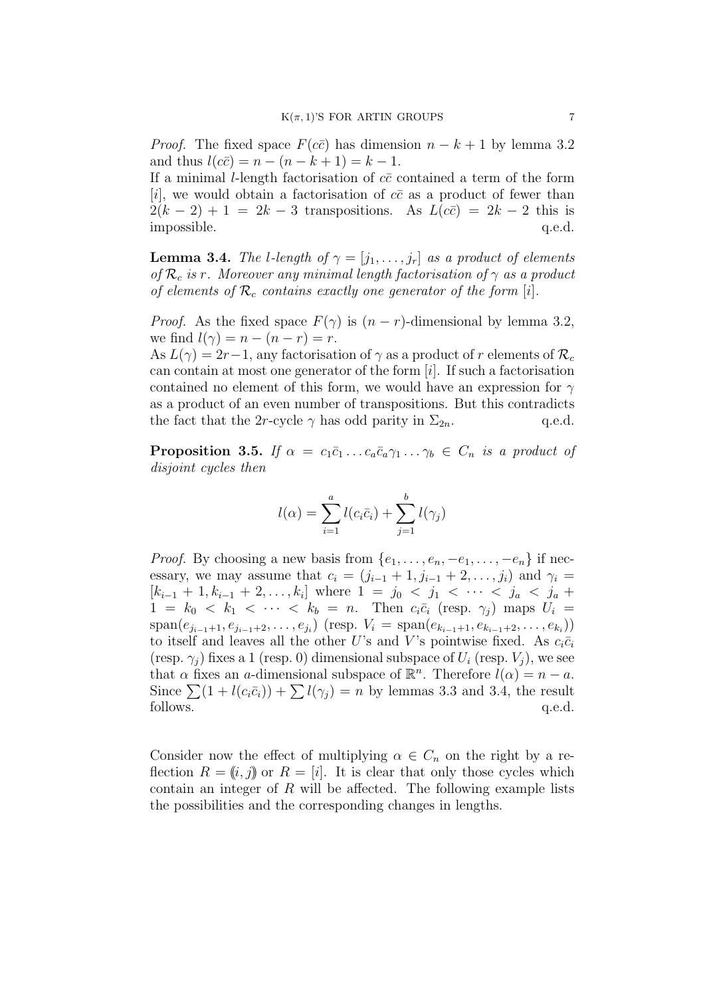*Proof.* The fixed space  $F(c\bar{c})$  has dimension  $n - k + 1$  by lemma 3.2  $\text{and thus } l(c\bar{c}) = n - (n - k + 1) = k - 1.$ 

If a minimal *l*-length factorisation of  $c\bar{c}$  contained a term of the form [*i*], we would obtain a factorisation of  $c\bar{c}$  as a product of fewer than  $2(k-2) + 1 = 2k - 3$  transpositions. As  $L(c\bar{c}) = 2k - 2$  this is impossible.  $q.e.d.$ 

**Lemma 3.4.** *The l-length of*  $\gamma = [j_1, \ldots, j_r]$  *as a product of elements of*  $\mathcal{R}_c$  *is r. Moreover any minimal length factorisation of*  $\gamma$  *as a product of elements of*  $\mathcal{R}_c$  *contains exactly one generator of the form* [*i*].

*Proof.* As the fixed space  $F(\gamma)$  is  $(n - r)$ -dimensional by lemma 3.2, we find  $l(\gamma) = n - (n - r) = r$ .

As  $L(\gamma) = 2r - 1$ , any factorisation of  $\gamma$  as a product of r elements of  $\mathcal{R}_c$ can contain at most one generator of the form [*i*]. If such a factorisation contained no element of this form, we would have an expression for *γ* as a product of an even number of transpositions. But this contradicts the fact that the 2*r*-cycle  $\gamma$  has odd parity in  $\Sigma_{2n}$ . q.e.d.

**Proposition 3.5.** *If*  $\alpha = c_1\bar{c}_1 \ldots c_a\bar{c}_a \gamma_1 \ldots \gamma_b \in C_n$  *is a product of disjoint cycles then*

$$
l(\alpha) = \sum_{i=1}^{a} l(c_i \bar{c}_i) + \sum_{j=1}^{b} l(\gamma_j)
$$

*Proof.* By choosing a new basis from  $\{e_1, \ldots, e_n, -e_1, \ldots, -e_n\}$  if necessary, we may assume that  $c_i = (j_{i-1} + 1, j_{i-1} + 2, ..., j_i)$  and  $\gamma_i =$  $[k_{i-1} + 1, k_{i-1} + 2, \ldots, k_i]$  where  $1 = j_0 < j_1 < \cdots < j_a < j_a + i$  $1 = k_0 < k_1 < \cdots < k_b = n$ . Then  $c_i\bar{c}_i$  (resp.  $\gamma_j$ ) maps  $U_i =$  $\text{span}(e_{j_{i-1}+1}, e_{j_{i-1}+2}, \dots, e_{j_i})$  (resp.  $V_i = \text{span}(e_{k_{i-1}+1}, e_{k_{i-1}+2}, \dots, e_{k_i})$ ) to itself and leaves all the other *U*'s and *V*'s pointwise fixed. As  $c_i\bar{c}_i$  $(\text{resp. } \gamma_i)$  fixes a 1 (resp. 0) dimensional subspace of  $U_i$  (resp.  $V_i$ ), we see that  $\alpha$  fixes an *a*-dimensional subspace of  $\mathbb{R}^n$ . Therefore  $l(\alpha) = n - a$ . Since  $\sum (1 + l(c_i\bar{c}_i)) + \sum l(\gamma_i) = n$  by lemmas 3.3 and 3.4, the result follows.  $q.e.d.$ 

Consider now the effect of multiplying  $\alpha \in C_n$  on the right by a reflection  $R = (i, j)$  or  $R = [i]$ . It is clear that only those cycles which contain an integer of *R* will be affected. The following example lists the possibilities and the corresponding changes in lengths.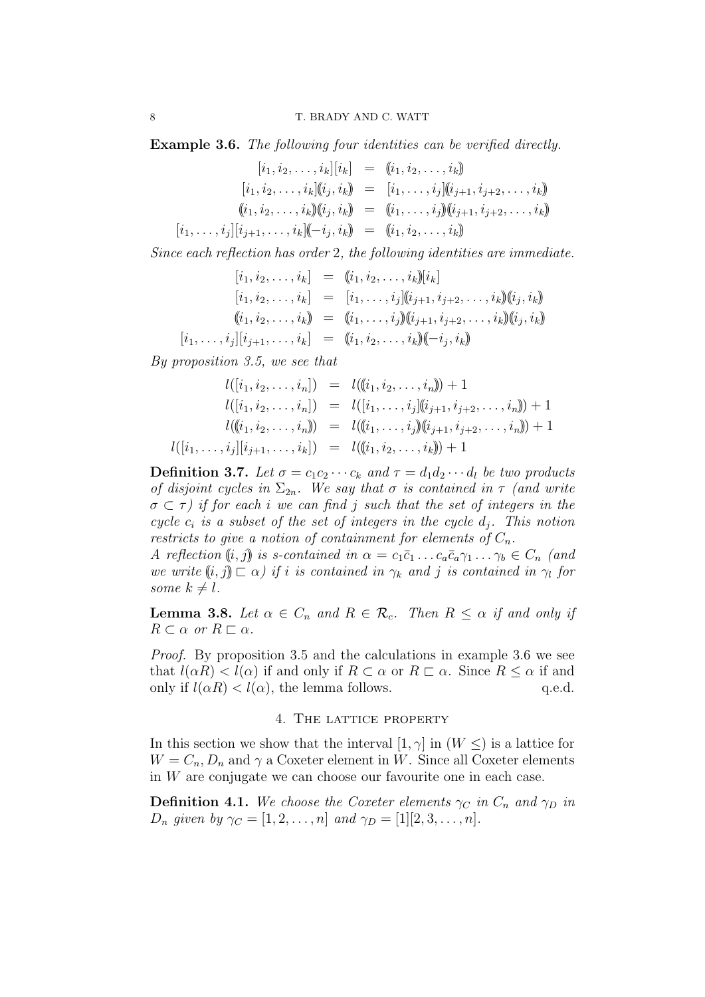**Example 3.6.** *The following four identities can be verified directly.*

 $[i_1, i_2, \ldots, i_k][i_k] = (i_1, i_2, \ldots, i_k)$  $[i_1, i_2, \ldots, i_k]$  $(i_j, i_k) = [i_1, \ldots, i_j]$  $(i_{j+1}, i_{j+2}, \ldots, i_k)$  $(i_1, i_2, \ldots, i_k)$  $(i_j, i_k)$  =  $(i_1, \ldots, i_j)$  $(i_{j+1}, i_{j+2}, \ldots, i_k)$  $[i_1, \ldots, i_j][i_{j+1}, \ldots, i_k](-i_j, i_k) = (i_1, i_2, \ldots, i_k)$ 

*Since each reflection has order* 2*, the following identities are immediate.*

$$
[i_1, i_2, \ldots, i_k] = (i_1, i_2, \ldots, i_k)[i_k]
$$
  
\n
$$
[i_1, i_2, \ldots, i_k] = [i_1, \ldots, i_j][(i_{j+1}, i_{j+2}, \ldots, i_k)](i_j, i_k)]
$$
  
\n
$$
((i_1, i_2, \ldots, i_k)) = ((i_1, \ldots, i_j)](i_{j+1}, i_{j+2}, \ldots, i_k)](i_j, i_k)]
$$
  
\n
$$
[i_1, \ldots, i_j][i_{j+1}, \ldots, i_k] = ((i_1, i_2, \ldots, i_k)](-i_j, i_k)]
$$

*By proposition 3.5, we see that*

$$
l([i_1, i_2, \ldots, i_n]) = l((i_1, i_2, \ldots, i_n]) + 1
$$
  
\n
$$
l([i_1, i_2, \ldots, i_n]) = l([i_1, \ldots, i_j](i_{j+1}, i_{j+2}, \ldots, i_n]) + 1
$$
  
\n
$$
l((i_1, i_2, \ldots, i_n)) = l((i_1, \ldots, i_j)(i_{j+1}, i_{j+2}, \ldots, i_n)) + 1
$$
  
\n
$$
l([i_1, \ldots, i_j][i_{j+1}, \ldots, i_k]) = l((i_1, i_2, \ldots, i_k)) + 1
$$

**Definition 3.7.** Let  $\sigma = c_1 c_2 \cdots c_k$  and  $\tau = d_1 d_2 \cdots d_l$  be two products *of disjoint cycles in*  $\Sigma_{2n}$ *. We say that*  $\sigma$  *is contained in*  $\tau$  *(and write σ ⊂ τ ) if for each i we can find j such that the set of integers in the cycle*  $c_i$  *is a subset of the set of integers in the cycle*  $d_j$ . This notion *restricts to give a notion of containment for elements of*  $C_n$ .

*A* reflection  $(i, j)$  is s-contained in  $\alpha = c_1 \bar{c}_1 \ldots c_a \bar{c}_a \gamma_1 \ldots \gamma_b \in C_n$  (and *we write*  $(i, j) \sqsubset \alpha$ *) if i is contained in*  $\gamma_k$  *and j is contained in*  $\gamma_l$  *for some*  $k \neq l$ *.* 

**Lemma 3.8.** Let  $\alpha \in C_n$  and  $R \in \mathcal{R}_c$ . Then  $R \leq \alpha$  if and only if  $R \subset \alpha$  *or*  $R \subset \alpha$ *.* 

*Proof.* By proposition 3.5 and the calculations in example 3.6 we see that  $l(\alpha R) < l(\alpha)$  if and only if  $R \subset \alpha$  or  $R \subset \alpha$ . Since  $R \leq \alpha$  if and only if  $l(\alpha R) < l(\alpha)$ , the lemma follows. q.e.d.

## 4. The lattice property

In this section we show that the interval  $[1, \gamma]$  in  $(W \leq)$  is a lattice for  $W = C_n, D_n$  and  $\gamma$  a Coxeter element in *W*. Since all Coxeter elements in *W* are conjugate we can choose our favourite one in each case.

**Definition 4.1.** We choose the Coxeter elements  $\gamma_C$  in  $C_n$  and  $\gamma_D$  in *D<sub>n</sub> given by*  $\gamma_C = [1, 2, \dots, n]$  *and*  $\gamma_D = [1][2, 3, \dots, n]$ *.*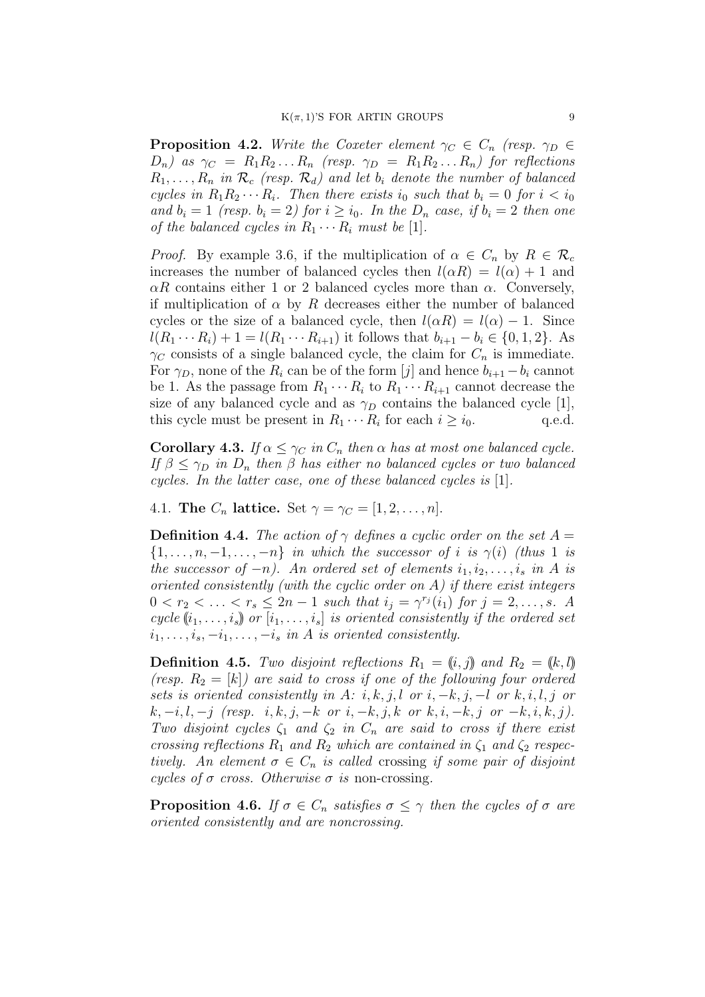**Proposition 4.2.** *Write the Coxeter element*  $\gamma_C \in C_n$  *(resp.*  $\gamma_D \in$  $D_n$ *)* as  $\gamma_C = R_1 R_2 \ldots R_n$  (resp.  $\gamma_D = R_1 R_2 \ldots R_n$ ) for reflections  $R_1, \ldots, R_n$  *in*  $\mathcal{R}_c$  (resp.  $\mathcal{R}_d$ ) and let  $b_i$  denote the number of balanced *cycles in*  $R_1 R_2 \cdots R_i$ *. Then there exists*  $i_0$  *such that*  $b_i = 0$  *for*  $i < i_0$ *and*  $b_i = 1$  *(resp.*  $b_i = 2$ *) for*  $i \ge i_0$ *. In the*  $D_n$  *case, if*  $b_i = 2$  *then one of the balanced cycles in*  $R_1 \cdots R_i$  *must be* [1].

*Proof.* By example 3.6, if the multiplication of  $\alpha \in C_n$  by  $R \in \mathcal{R}_c$ increases the number of balanced cycles then  $l(\alpha R) = l(\alpha) + 1$  and *αR* contains either 1 or 2 balanced cycles more than *α*. Conversely, if multiplication of  $\alpha$  by  $R$  decreases either the number of balanced cycles or the size of a balanced cycle, then  $l(\alpha R) = l(\alpha) - 1$ . Since  $l(R_1 \cdots R_i) + 1 = l(R_1 \cdots R_{i+1})$  it follows that  $b_{i+1} - b_i \in \{0, 1, 2\}$ . As  $\gamma_C$  consists of a single balanced cycle, the claim for  $C_n$  is immediate. For  $\gamma_D$ , none of the  $R_i$  can be of the form [*j*] and hence  $b_{i+1} - b_i$  cannot be 1. As the passage from  $R_1 \cdots R_i$  to  $R_1 \cdots R_{i+1}$  cannot decrease the size of any balanced cycle and as  $\gamma_D$  contains the balanced cycle [1], this cycle must be present in  $R_1 \cdots R_i$  for each  $i \geq i_0$ . q.e.d.

**Corollary 4.3.** *If*  $\alpha \leq \gamma_C$  *in*  $C_n$  *then*  $\alpha$  *has at most one balanced cycle. If*  $\beta \leq \gamma_D$  *in*  $D_n$  *then*  $\beta$  *has either no balanced cycles or two balanced cycles. In the latter case, one of these balanced cycles is* [1]*.*

4.1. **The**  $C_n$  **lattice.** Set  $\gamma = \gamma_C = [1, 2, ..., n]$ .

**Definition 4.4.** *The action of*  $\gamma$  *defines a cyclic order on the set*  $A =$  ${1, \ldots, n, -1, \ldots, -n}$  *in which the successor of i is*  $\gamma(i)$  *(thus* 1 *is the successor of*  $-n$ *). An ordered set of elements*  $i_1, i_2, \ldots, i_s$  *in A is oriented consistently (with the cyclic order on A) if there exist integers*  $0 < r_2 < \ldots < r_s \leq 2n - 1$  such that  $i_j = \gamma^{r_j}(i_1)$  for  $j = 2, \ldots, s$ . A *cycle*  $(i_1, \ldots, i_s)$  *or*  $[i_1, \ldots, i_s]$  *is oriented consistently if the ordered set*  $i_1, \ldots, i_s, -i_1, \ldots, -i_s$  *in A is oriented consistently.* 

**Definition 4.5.** *Two disjoint reflections*  $R_1 = (i, j)$  *and*  $R_2 = (k, l)$ *(resp.*  $R_2 = [k]$ *)* are said to cross if one of the following four ordered *sets is oriented consistently in*  $A: i, k, j, l$  *or*  $i, -k, j, -l$  *or*  $k, i, l, j$  *or*  $k, -i, l, -j$  (resp. i, k, j, -k or i, -k, j, k or k, i, -k, j or -k, i, k, j). *Two disjoint cycles*  $\zeta_1$  *and*  $\zeta_2$  *in*  $C_n$  *are said to cross if there exist crossing reflections*  $R_1$  *and*  $R_2$  *which are contained in*  $\zeta_1$  *and*  $\zeta_2$  *respectively. An element*  $\sigma \in C_n$  *is called* crossing *if some pair of disjoint cycles of*  $\sigma$  *cross. Otherwise*  $\sigma$  *is* non-crossing.

**Proposition 4.6.** *If*  $\sigma \in C_n$  *satisfies*  $\sigma \leq \gamma$  *then the cycles of*  $\sigma$  *are oriented consistently and are noncrossing.*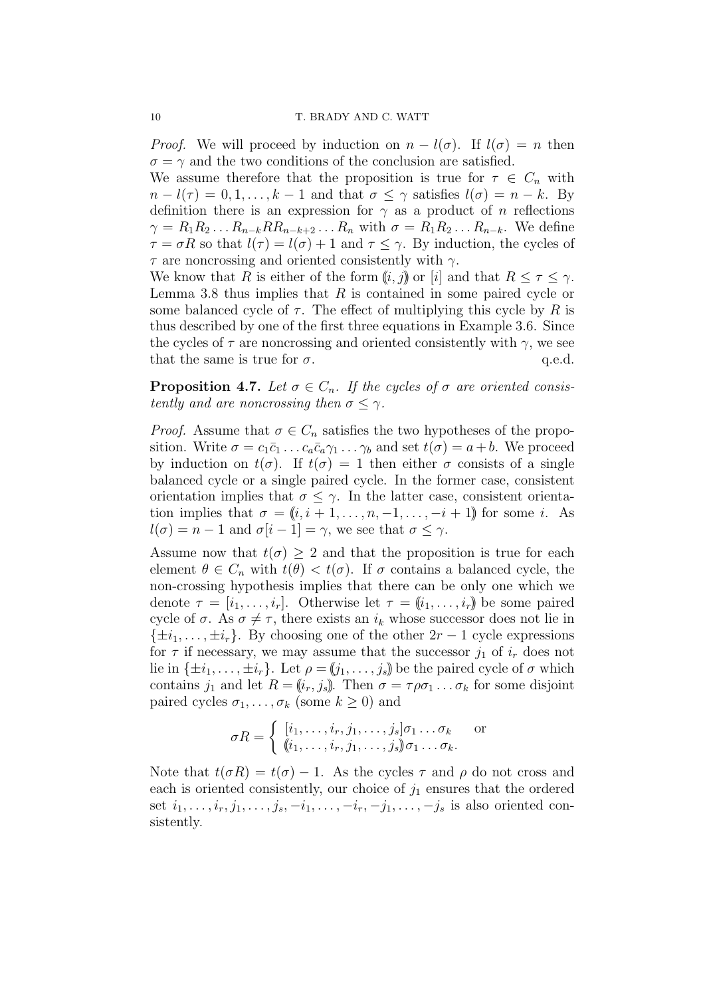*Proof.* We will proceed by induction on  $n - l(\sigma)$ . If  $l(\sigma) = n$  then  $\sigma = \gamma$  and the two conditions of the conclusion are satisfied.

We assume therefore that the proposition is true for  $\tau \in C_n$  with  $n - l(\tau) = 0, 1, \ldots, k - 1$  and that  $\sigma \leq \gamma$  satisfies  $l(\sigma) = n - k$ . By definition there is an expression for  $\gamma$  as a product of *n* reflections  $\gamma = R_1 R_2 \dots R_{n-k} R R_{n-k+2} \dots R_n$  with  $\sigma = R_1 R_2 \dots R_{n-k}$ . We define  $\tau = \sigma R$  so that  $l(\tau) = l(\sigma) + 1$  and  $\tau \leq \gamma$ . By induction, the cycles of *τ* are noncrossing and oriented consistently with *γ*.

We know that *R* is either of the form  $(i, j)$  or  $[i]$  and that  $R \leq \tau \leq \gamma$ . Lemma 3.8 thus implies that *R* is contained in some paired cycle or some balanced cycle of  $\tau$ . The effect of multiplying this cycle by R is thus described by one of the first three equations in Example 3.6. Since the cycles of  $\tau$  are noncrossing and oriented consistently with  $\gamma$ , we see that the same is true for  $\sigma$ .  $q.e.d.$ 

**Proposition 4.7.** Let  $\sigma \in C_n$ . If the cycles of  $\sigma$  are oriented consis*tently and are noncrossing then*  $\sigma \leq \gamma$ *.* 

*Proof.* Assume that  $\sigma \in C_n$  satisfies the two hypotheses of the proposition. Write  $\sigma = c_1 \bar{c}_1 \ldots c_a \bar{c}_a \gamma_1 \ldots \gamma_b$  and set  $t(\sigma) = a + b$ . We proceed by induction on  $t(σ)$ . If  $t(σ) = 1$  then either *σ* consists of a single balanced cycle or a single paired cycle. In the former case, consistent orientation implies that  $\sigma \leq \gamma$ . In the latter case, consistent orientation implies that  $\sigma = (i, i + 1, \ldots, n, -1, \ldots, -i + 1)$  for some *i*. As  $l(\sigma) = n - 1$  and  $\sigma[i - 1] = \gamma$ , we see that  $\sigma \leq \gamma$ .

Assume now that  $t(\sigma) \geq 2$  and that the proposition is true for each element  $\theta \in C_n$  with  $t(\theta) < t(\sigma)$ . If  $\sigma$  contains a balanced cycle, the non-crossing hypothesis implies that there can be only one which we denote  $\tau = [i_1, \ldots, i_r]$ . Otherwise let  $\tau = (i_1, \ldots, i_r)$  be some paired cycle of  $\sigma$ . As  $\sigma \neq \tau$ , there exists an  $i_k$  whose successor does not lie in  $\{\pm i_1, \ldots, \pm i_r\}$ . By choosing one of the other  $2r - 1$  cycle expressions for  $\tau$  if necessary, we may assume that the successor  $j_1$  of  $i_r$  does not lie in  $\{\pm i_1, \ldots, \pm i_r\}$ . Let  $\rho = (i_1, \ldots, i_s)$  be the paired cycle of  $\sigma$  which contains  $j_1$  and let  $R = (i_r, j_s)$ . Then  $\sigma = \tau \rho \sigma_1 \dots \sigma_k$  for some disjoint paired cycles  $\sigma_1, \ldots, \sigma_k$  (some  $k \geq 0$ ) and

$$
\sigma R = \begin{cases} [i_1, \dots, i_r, j_1, \dots, j_s] \sigma_1 \dots \sigma_k & \text{or} \\ (i_1, \dots, i_r, j_1, \dots, j_s) \sigma_1 \dots \sigma_k. \end{cases}
$$

Note that  $t(\sigma R) = t(\sigma) - 1$ . As the cycles  $\tau$  and  $\rho$  do not cross and each is oriented consistently, our choice of  $j_1$  ensures that the ordered set  $i_1, \ldots, i_r, j_1, \ldots, j_s, -i_1, \ldots, -i_r, -j_1, \ldots, -j_s$  is also oriented consistently.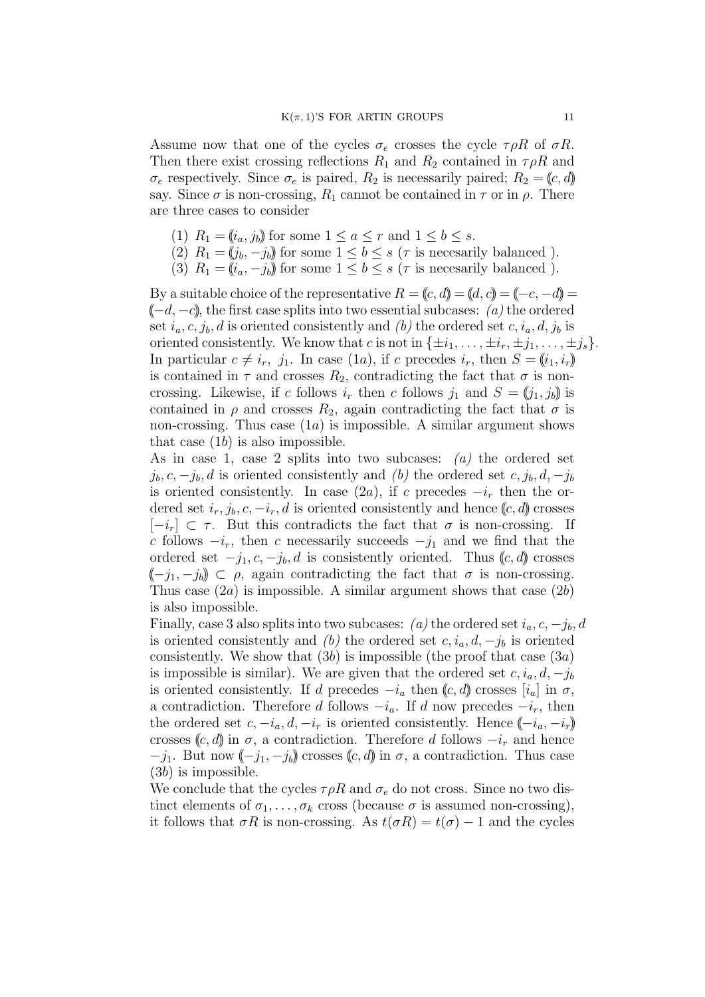Assume now that one of the cycles  $\sigma_e$  crosses the cycle  $\tau \rho R$  of  $\sigma R$ . Then there exist crossing reflections  $R_1$  and  $R_2$  contained in  $\tau \rho R$  and  $\sigma_e$  respectively. Since  $\sigma_e$  is paired,  $R_2$  is necessarily paired;  $R_2 = (c, d)$ say. Since  $\sigma$  is non-crossing,  $R_1$  cannot be contained in  $\tau$  or in  $\rho$ . There are three cases to consider

- (1)  $R_1 = (i_a, j_b)$  for some  $1 \le a \le r$  and  $1 \le b \le s$ .
- (2)  $R_1 = (j_b, -j_b)$  for some  $1 \leq b \leq s$  ( $\tau$  is necesarily balanced).
- (3)  $R_1 = (i_a, -j_b)$  for some  $1 \leq b \leq s$  ( $\tau$  is necesarily balanced).

By a suitable choice of the representative  $R = (c, d) = (d, c) = (-c, -d)$ ((*−d, −c*)), the first case splits into two essential subcases: *(a)* the ordered set  $i_a, c, j_b, d$  is oriented consistently and *(b)* the ordered set  $c, i_a, d, j_b$  is oriented consistently. We know that *c* is not in  $\{\pm i_1, \ldots, \pm i_r, \pm j_1, \ldots, \pm j_s\}$ . In particular  $c \neq i_r$ ,  $j_1$ . In case (1*a*), if *c* precedes  $i_r$ , then  $S = (i_1, i_r)$ is contained in  $\tau$  and crosses  $R_2$ , contradicting the fact that  $\sigma$  is noncrossing. Likewise, if *c* follows  $i_r$  then *c* follows  $j_1$  and  $S = (j_1, j_b)$  is contained in  $\rho$  and crosses  $R_2$ , again contradicting the fact that  $\sigma$  is non-crossing. Thus case (1*a*) is impossible. A similar argument shows that case (1*b*) is also impossible.

As in case 1, case 2 splits into two subcases: *(a)* the ordered set  $j_b, c, -j_b, d$  is oriented consistently and *(b)* the ordered set  $c, j_b, d, -j_b$ is oriented consistently. In case  $(2a)$ , if *c* precedes  $-i<sub>r</sub>$  then the ordered set  $i_r, j_b, c, -i_r, d$  is oriented consistently and hence  $(c, d)$  crosses  $[-i<sub>r</sub>]$  ⊂ *τ*. But this contradicts the fact that *σ* is non-crossing. If *c* follows  $-i_r$ , then *c* necessarily succeeds  $-j_1$  and we find that the ordered set  $-j_1, c, -j_b, d$  is consistently oriented. Thus  $(c, d)$  crosses  $(-j_1, -j_b) \subset \rho$ , again contradicting the fact that  $\sigma$  is non-crossing. Thus case (2*a*) is impossible. A similar argument shows that case (2*b*) is also impossible.

Finally, case 3 also splits into two subcases:  $(a)$  the ordered set  $i_a, c, -j_b, d$ is oriented consistently and *(b)* the ordered set  $c, i_a, d, -j_b$  is oriented consistently. We show that (3*b*) is impossible (the proof that case (3*a*) is impossible is similar). We are given that the ordered set  $c, i_a, d, -j_b$ is oriented consistently. If *d* precedes  $-i_a$  then  $(c, d)$  crosses  $[i_a]$  in  $\sigma$ , a contradiction. Therefore *d* follows  $-i_a$ . If *d* now precedes  $-i_r$ , then the ordered set  $c, -i_a, d, -i_r$  is oriented consistently. Hence  $(-i_a, -i_r)$ crosses ( $(c, d)$ ) in  $\sigma$ , a contradiction. Therefore *d* follows  $-i_r$  and hence  $-j_1$ . But now  $(-j_1, -j_0)$  crosses  $(c, d)$  in  $\sigma$ , a contradiction. Thus case (3*b*) is impossible.

We conclude that the cycles  $\tau \rho R$  and  $\sigma_e$  do not cross. Since no two distinct elements of  $\sigma_1, \ldots, \sigma_k$  cross (because  $\sigma$  is assumed non-crossing), it follows that  $\sigma R$  is non-crossing. As  $t(\sigma R) = t(\sigma) - 1$  and the cycles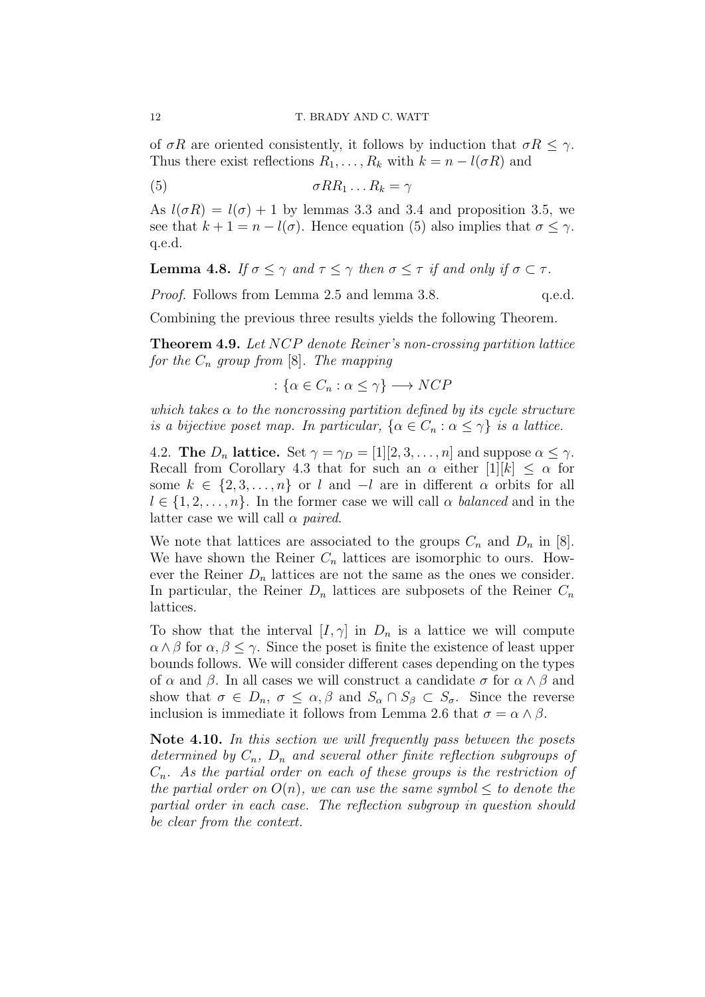of  $\sigma R$  are oriented consistently, it follows by induction that  $\sigma R \leq \gamma$ . Thus there exist reflections  $R_1, \ldots, R_k$  with  $k = n - l(\sigma R)$  and

$$
\sigma R R_1 \dots R_k = \gamma
$$

As  $l(\sigma R) = l(\sigma) + 1$  by lemmas 3.3 and 3.4 and proposition 3.5, we see that  $k + 1 = n - l(\sigma)$ . Hence equation (5) also implies that  $\sigma \leq \gamma$ . q.e.d.

**Lemma 4.8.** *If*  $\sigma \leq \gamma$  *and*  $\tau \leq \gamma$  *then*  $\sigma \leq \tau$  *if and only if*  $\sigma \subset \tau$ *.* 

*Proof.* Follows from Lemma 2.5 and lemma 3.8. q.e.d.

Combining the previous three results yields the following Theorem.

**Theorem 4.9.** *Let NCP denote Reiner's non-crossing partition lattice for the*  $C_n$  *group from* [8]*. The mapping* 

:  $\{\alpha \in C_n : \alpha \leq \gamma\} \longrightarrow NCP$ 

*which takes*  $\alpha$  *to the noncrossing partition defined by its cycle structure is a bijective poset map. In particular,*  $\{\alpha \in C_n : \alpha \leq \gamma\}$  *is a lattice.* 

4.2. **The**  $D_n$  **lattice.** Set  $\gamma = \gamma_D = [1][2, 3, \dots, n]$  and suppose  $\alpha \leq \gamma$ . Recall from Corollary 4.3 that for such an  $\alpha$  either  $[1][k] \leq \alpha$  for some  $k \in \{2, 3, \ldots, n\}$  or *l* and  $-I$  are in different  $\alpha$  orbits for all  $l \in \{1, 2, \ldots, n\}$ . In the former case we will call  $\alpha$  *balanced* and in the latter case we will call *α paired*.

We note that lattices are associated to the groups  $C_n$  and  $D_n$  in [8]. We have shown the Reiner  $C_n$  lattices are isomorphic to ours. However the Reiner  $D_n$  lattices are not the same as the ones we consider. In particular, the Reiner  $D_n$  lattices are subposets of the Reiner  $C_n$ lattices.

To show that the interval  $[I, \gamma]$  in  $D_n$  is a lattice we will compute  $\alpha \wedge \beta$  for  $\alpha, \beta \leq \gamma$ . Since the poset is finite the existence of least upper bounds follows. We will consider different cases depending on the types of  $\alpha$  and  $\beta$ . In all cases we will construct a candidate  $\sigma$  for  $\alpha \wedge \beta$  and show that  $\sigma \in D_n$ ,  $\sigma \leq \alpha, \beta$  and  $S_\alpha \cap S_\beta \subset S_\sigma$ . Since the reverse inclusion is immediate it follows from Lemma 2.6 that  $\sigma = \alpha \wedge \beta$ .

**Note 4.10.** *In this section we will frequently pass between the posets determined by Cn, D<sup>n</sup> and several other finite reflection subgroups of Cn. As the partial order on each of these groups is the restriction of the partial order on*  $O(n)$ *, we can use the same symbol*  $\leq$  *to denote the partial order in each case. The reflection subgroup in question should be clear from the context.*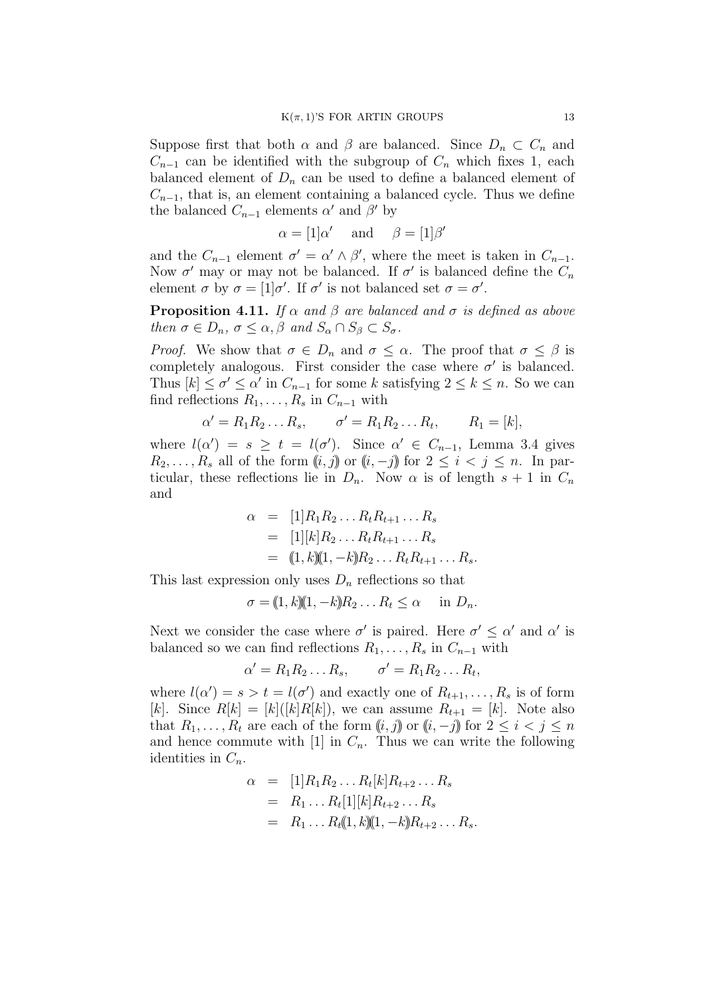Suppose first that both  $\alpha$  and  $\beta$  are balanced. Since  $D_n \subset C_n$  and  $C_{n-1}$  can be identified with the subgroup of  $C_n$  which fixes 1, each balanced element of  $D_n$  can be used to define a balanced element of  $C_{n-1}$ , that is, an element containing a balanced cycle. Thus we define the balanced  $C_{n-1}$  elements  $\alpha'$  and  $\beta'$  by

$$
\alpha = [1]\alpha'
$$
 and  $\beta = [1]\beta'$ 

and the  $C_{n-1}$  element  $\sigma' = \alpha' \wedge \beta'$ , where the meet is taken in  $C_{n-1}$ . Now  $\sigma'$  may or may not be balanced. If  $\sigma'$  is balanced define the  $C_n$ element  $\sigma$  by  $\sigma = [1]\sigma'$ . If  $\sigma'$  is not balanced set  $\sigma = \sigma'$ .

**Proposition 4.11.** *If*  $\alpha$  *and*  $\beta$  *are balanced and*  $\sigma$  *is defined as above then*  $\sigma \in D_n$ ,  $\sigma \leq \alpha$ ,  $\beta$  *and*  $S_\alpha \cap S_\beta \subset S_\sigma$ .

*Proof.* We show that  $\sigma \in D_n$  and  $\sigma \leq \alpha$ . The proof that  $\sigma \leq \beta$  is completely analogous. First consider the case where  $\sigma'$  is balanced. Thus  $[k] \leq \sigma' \leq \alpha'$  in  $C_{n-1}$  for some *k* satisfying  $2 \leq k \leq n$ . So we can find reflections  $R_1, \ldots, R_s$  in  $C_{n-1}$  with

$$
\alpha' = R_1 R_2 \dots R_s, \qquad \sigma' = R_1 R_2 \dots R_t, \qquad R_1 = [k],
$$

where  $l(\alpha') = s \geq t = l(\sigma')$ . Since  $\alpha' \in C_{n-1}$ , Lemma 3.4 gives  $R_2, \ldots, R_s$  all of the form  $(i, j)$  or  $(i, -j)$  for  $2 \leq i \leq j \leq n$ . In particular, these reflections lie in  $D_n$ . Now  $\alpha$  is of length  $s + 1$  in  $C_n$ and

$$
\alpha = [1]R_1 R_2 ... R_t R_{t+1} ... R_s
$$
  
= [1][k]R\_2 ... R\_t R\_{t+1} ... R\_s  
= (1, k)(1, -k)R\_2 ... R\_t R\_{t+1} ... R\_s

This last expression only uses  $D_n$  reflections so that

$$
\sigma = (1, k)(1, -k)R_2 \dots R_t \leq \alpha \quad \text{in } D_n.
$$

Next we consider the case where  $\sigma'$  is paired. Here  $\sigma' \leq \alpha'$  and  $\alpha'$  is balanced so we can find reflections  $R_1, \ldots, R_s$  in  $C_{n-1}$  with

$$
\alpha' = R_1 R_2 \dots R_s, \qquad \sigma' = R_1 R_2 \dots R_t,
$$

where  $l(\alpha') = s > t = l(\sigma')$  and exactly one of  $R_{t+1}, \ldots, R_s$  is of form [*k*]. Since  $R[k] = [k]([k]R[k])$ , we can assume  $R_{t+1} = [k]$ . Note also that  $R_1, \ldots, R_t$  are each of the form  $(i, j)$  or  $(i, -j)$  for  $2 \leq i \leq j \leq n$ and hence commute with  $[1]$  in  $C_n$ . Thus we can write the following identities in *Cn*.

$$
\alpha = [1]R_1R_2...R_t[k]R_{t+2}...R_s
$$
  
=  $R_1...R_t[1][k]R_{t+2}...R_s$   
=  $R_1...R_t(1,k)(1,-k)R_{t+2}...R_s.$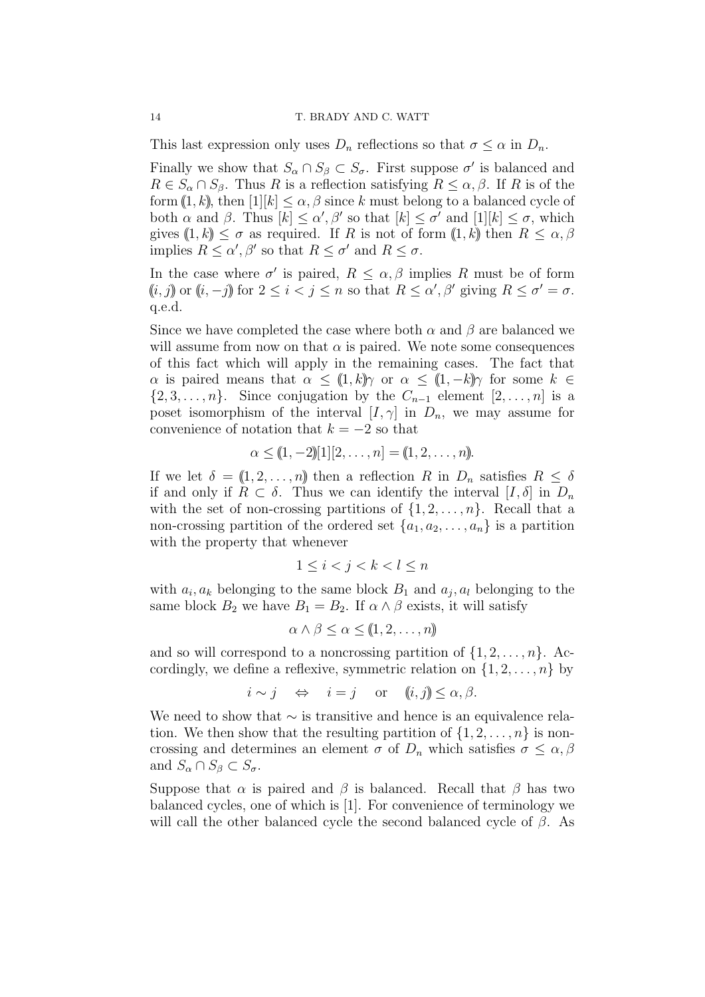This last expression only uses  $D_n$  reflections so that  $\sigma \leq \alpha$  in  $D_n$ .

Finally we show that  $S_\alpha \cap S_\beta \subset S_\sigma$ . First suppose  $\sigma'$  is balanced and  $R \in S_\alpha \cap S_\beta$ . Thus *R* is a reflection satisfying  $R \leq \alpha, \beta$ . If *R* is of the form  $(1, k)$ , then  $[1][k] < \alpha, \beta$  since k must belong to a balanced cycle of both  $\alpha$  and  $\beta$ . Thus  $[k] \leq \alpha'$ ,  $\beta'$  so that  $[k] \leq \sigma'$  and  $[1][k] \leq \sigma$ , which gives  $(1, k) \leq \sigma$  as required. If *R* is not of form  $(1, k)$  then  $R \leq \alpha, \beta$ implies  $R \leq \alpha'$ ,  $\beta'$  so that  $R \leq \sigma'$  and  $R \leq \sigma$ .

In the case where  $\sigma'$  is paired,  $R \leq \alpha, \beta$  implies R must be of form  $(i, j)$  or  $(i, -j)$  for  $2 \leq i < j \leq n$  so that  $R \leq \alpha'$ ,  $\beta'$  giving  $R \leq \sigma' = \sigma$ . q.e.d.

Since we have completed the case where both  $\alpha$  and  $\beta$  are balanced we will assume from now on that  $\alpha$  is paired. We note some consequences of this fact which will apply in the remaining cases. The fact that *α* is paired means that  $\alpha \leq (1, k)$  *γ* or  $\alpha \leq (1, -k)$  *γ* for some  $k \in$ *{*2*,* 3*, . . . , n*}. Since conjugation by the  $C_{n-1}$  element [2*, . . . , n*] is a poset isomorphism of the interval  $[I, \gamma]$  in  $D_n$ , we may assume for convenience of notation that  $k = -2$  so that

$$
\alpha \leq (1, -2)[1][2, \ldots, n] = (1, 2, \ldots, n).
$$

If we let  $\delta = (1, 2, \ldots, n)$  then a reflection R in  $D_n$  satisfies  $R \leq \delta$ if and only if  $R \subset \delta$ . Thus we can identify the interval  $[I, \delta]$  in  $D_n$ with the set of non-crossing partitions of  $\{1, 2, \ldots, n\}$ . Recall that a non-crossing partition of the ordered set  $\{a_1, a_2, \ldots, a_n\}$  is a partition with the property that whenever

$$
1 \le i < j < k < l \le n
$$

with  $a_i, a_k$  belonging to the same block  $B_1$  and  $a_j, a_l$  belonging to the same block  $B_2$  we have  $B_1 = B_2$ . If  $\alpha \wedge \beta$  exists, it will satisfy

$$
\alpha \wedge \beta \leq \alpha \leq (1, 2, \dots, n)
$$

and so will correspond to a noncrossing partition of  $\{1, 2, \ldots, n\}$ . Accordingly, we define a reflexive, symmetric relation on  $\{1, 2, \ldots, n\}$  by

$$
i \sim j \quad \Leftrightarrow \quad i = j \quad \text{or} \quad (i, j) \leq \alpha, \beta.
$$

We need to show that *∼* is transitive and hence is an equivalence relation. We then show that the resulting partition of  $\{1, 2, \ldots, n\}$  is noncrossing and determines an element  $\sigma$  of  $D_n$  which satisfies  $\sigma \leq \alpha, \beta$ and  $S_\alpha \cap S_\beta \subset S_\sigma$ .

Suppose that  $\alpha$  is paired and  $\beta$  is balanced. Recall that  $\beta$  has two balanced cycles, one of which is [1]. For convenience of terminology we will call the other balanced cycle the second balanced cycle of *β*. As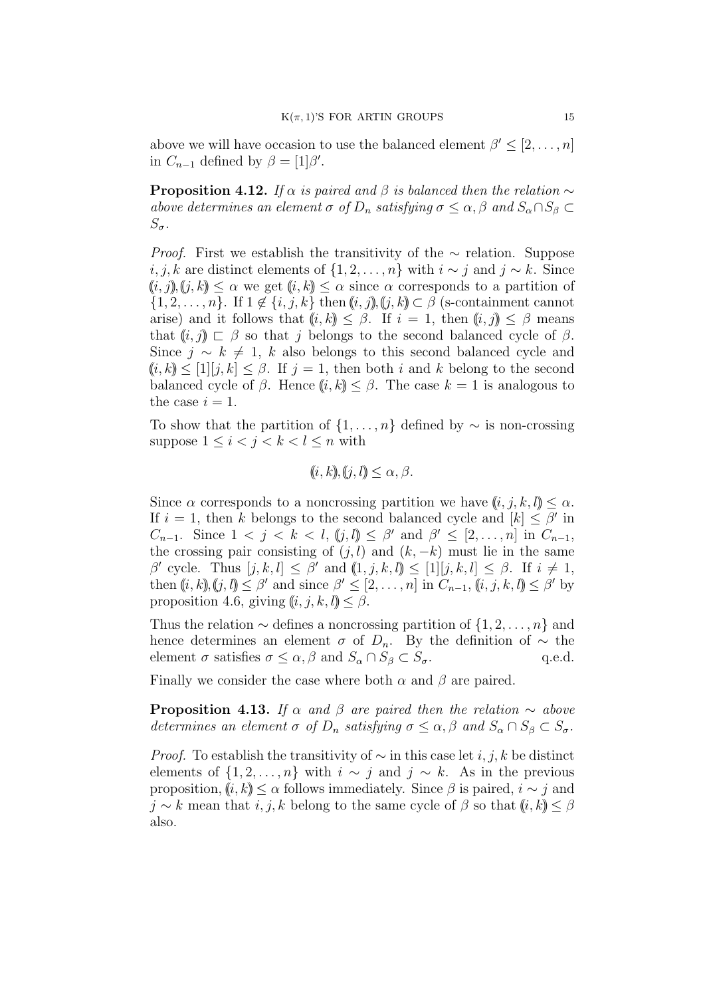above we will have occasion to use the balanced element  $\beta' \leq [2, \ldots, n]$ in  $C_{n-1}$  defined by  $\beta = [1]\beta'$ .

**Proposition 4.12.** *If*  $\alpha$  *is paired and*  $\beta$  *is balanced then the relation*  $\sim$ *above determines an element*  $\sigma$  *of*  $D_n$  *satisfying*  $\sigma \leq \alpha, \beta$  *and*  $S_\alpha \cap S_\beta \subset$ *Sσ.*

*Proof.* First we establish the transitivity of the ∼ relation. Suppose *i, j, k* are distinct elements of  ${1, 2, ..., n}$  with *i* ∼ *j* and *j* ∼ *k*. Since  $((i, j), (j, k) \leq \alpha$  we get  $((i, k) \leq \alpha$  since  $\alpha$  corresponds to a partition of *{*1*,* 2*,*  $\dots$ *, n}*. If 1 ∉ {*i, j, k*} then  $(i, j)$ ,  $(j, k)$  ⊂  $\beta$  (s-containment cannot arise) and it follows that  $(i, k) \leq \beta$ . If  $i = 1$ , then  $(i, j) \leq \beta$  means that  $(i, j) \subset \beta$  so that *j* belongs to the second balanced cycle of  $\beta$ . Since  $j \sim k \neq 1$ , *k* also belongs to this second balanced cycle and  $(k, k) \leq [1][j, k] \leq \beta$ . If  $j = 1$ , then both *i* and *k* belong to the second balanced cycle of  $\beta$ . Hence  $(i, k) \leq \beta$ . The case  $k = 1$  is analogous to the case  $i = 1$ .

To show that the partition of  $\{1, \ldots, n\}$  defined by  $\sim$  is non-crossing suppose  $1 \leq i < j < k < l \leq n$  with

$$
(i, k), (j, l) \le \alpha, \beta.
$$

Since  $\alpha$  corresponds to a noncrossing partition we have  $(i, j, k, l) \leq \alpha$ . If  $i = 1$ , then *k* belongs to the second balanced cycle and  $[k] \leq \beta'$  in *C*<sub>*n*−1</sub>. Since  $1 < j < k < l$ ,  $(j, l) \leq \beta'$  and  $\beta' \leq [2, ..., n]$  in  $C_{n-1}$ , the crossing pair consisting of  $(j, l)$  and  $(k, -k)$  must lie in the same  $\beta'$  cycle. Thus  $[j, k, l] \leq \beta'$  and  $(1, j, k, l] \leq [1][j, k, l] \leq \beta$ . If  $i \neq 1$ , then  $(i, k)$ ,  $(j, l) \leq \beta'$  and since  $\beta' \leq [2, \ldots, n]$  in  $C_{n-1}$ ,  $(i, j, k, l) \leq \beta'$  by proposition 4.6, giving  $(i, j, k, l) \leq \beta$ .

Thus the relation *∼* defines a noncrossing partition of *{*1*,* 2*, . . . , n}* and hence determines an element  $\sigma$  of  $D_n$ . By the definition of  $\sim$  the element  $\sigma$  satisfies  $\sigma \leq \alpha, \beta$  and  $S_{\alpha} \cap S_{\beta} \subset S_{\sigma}$ . q.e.d.

Finally we consider the case where both  $\alpha$  and  $\beta$  are paired.

**Proposition 4.13.** *If*  $\alpha$  *and*  $\beta$  *are paired then the relation*  $\sim$  *above determines an element*  $\sigma$  *of*  $D_n$  *satisfying*  $\sigma \leq \alpha, \beta$  *and*  $S_\alpha \cap S_\beta \subset S_\sigma$ *.* 

*Proof.* To establish the transitivity of *∼* in this case let *i, j, k* be distinct elements of  $\{1, 2, \ldots, n\}$  with  $i \sim j$  and  $j \sim k$ . As in the previous proposition,  $(i, k) \leq \alpha$  follows immediately. Since  $\beta$  is paired,  $i \sim j$  and *j* ∼ *k* mean that *i, j, k* belong to the same cycle of  $\beta$  so that  $(i, k) \leq \beta$ also.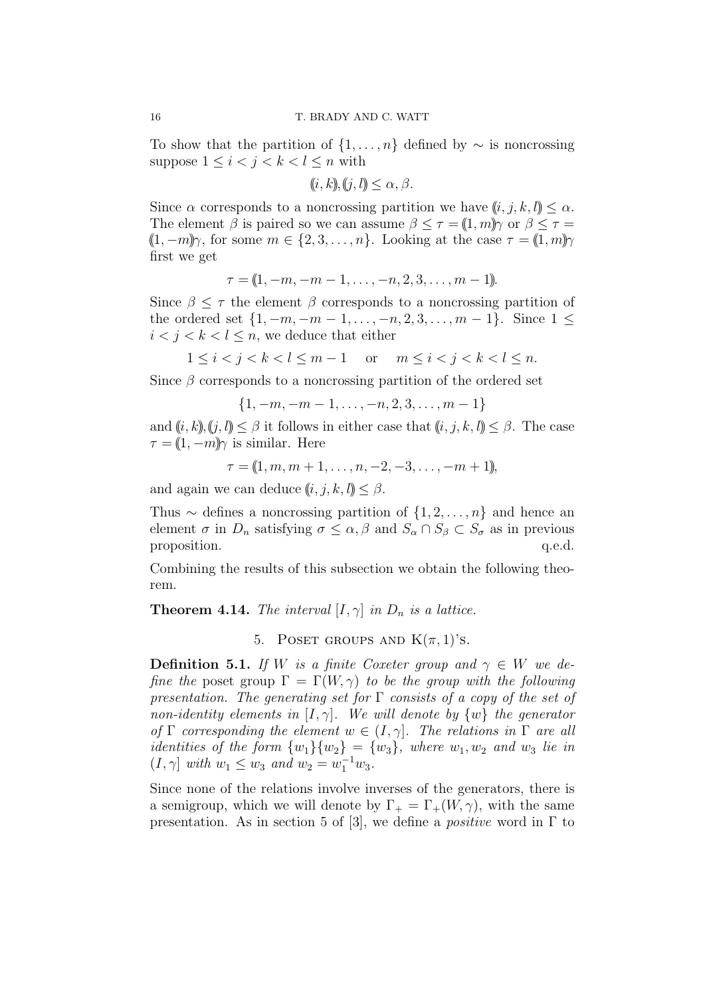To show that the partition of  $\{1, \ldots, n\}$  defined by  $\sim$  is noncrossing suppose  $1 \leq i < j < k < l \leq n$  with

$$
(i, k), (j, l) \le \alpha, \beta.
$$

Since  $\alpha$  corresponds to a noncrossing partition we have  $(i, j, k, l) < \alpha$ . The element  $\beta$  is paired so we can assume  $\beta \leq \tau = (1, m)$ *γ* or  $\beta \leq \tau =$  $(1, -m)\gamma$ , for some  $m \in \{2, 3, \ldots, n\}$ . Looking at the case  $\tau = (1, m)\gamma$ first we get

$$
\tau = (1, -m, -m-1, \ldots, -n, 2, 3, \ldots, m-1).
$$

Since  $\beta \leq \tau$  the element  $\beta$  corresponds to a noncrossing partition of the ordered set  $\{1, -m, -m-1, \ldots, -n, 2, 3, \ldots, m-1\}$ . Since  $1 \leq$  $i < j < k < l \leq n$ , we deduce that either

$$
1 \le i < j < k < l \le m - 1 \quad \text{or} \quad m \le i < j < k < l \le n.
$$

Since  $\beta$  corresponds to a noncrossing partition of the ordered set

$$
\{1, -m, -m-1, \ldots, -n, 2, 3, \ldots, m-1\}
$$

and  $(i, k)$ ,  $(j, l) \leq \beta$  it follows in either case that  $(i, j, k, l) \leq \beta$ . The case  $\tau = (1, -m)\gamma$  is similar. Here

$$
\tau = (1, m, m+1, \ldots, n, -2, -3, \ldots, -m+1),
$$

and again we can deduce  $(i, j, k, l) < \beta$ .

Thus *∼* defines a noncrossing partition of *{*1*,* 2*, . . . , n}* and hence an element  $\sigma$  in  $D_n$  satisfying  $\sigma \leq \alpha, \beta$  and  $S_\alpha \cap S_\beta \subset S_\sigma$  as in previous proposition.  $q.e.d.$ 

Combining the results of this subsection we obtain the following theorem.

**Theorem 4.14.** *The interval*  $[I, \gamma]$  *in*  $D_n$  *is a lattice.* 

5. POSET GROUPS AND  $K(\pi, 1)$ 's.

**Definition 5.1.** *If W is a finite Coxeter group and*  $\gamma \in W$  *we define the* poset group  $\Gamma = \Gamma(W, \gamma)$  *to be the group with the following presentation. The generating set for* Γ *consists of a copy of the set of non-identity elements in*  $[I, \gamma]$ *. We will denote by*  $\{w\}$  *the generator of*  $\Gamma$  *corresponding the element*  $w \in (I, \gamma]$ *. The relations in*  $\Gamma$  *are all identities of the form*  $\{w_1\}\{w_2\} = \{w_3\}$ , where  $w_1, w_2$  and  $w_3$  lie in  $(I, \gamma]$  *with*  $w_1 \leq w_3$  *and*  $w_2 = w_1^{-1}w_3$ *.* 

Since none of the relations involve inverses of the generators, there is a semigroup, which we will denote by  $\Gamma_+ = \Gamma_+(W,\gamma)$ , with the same presentation. As in section 5 of [3], we define a *positive* word in Γ to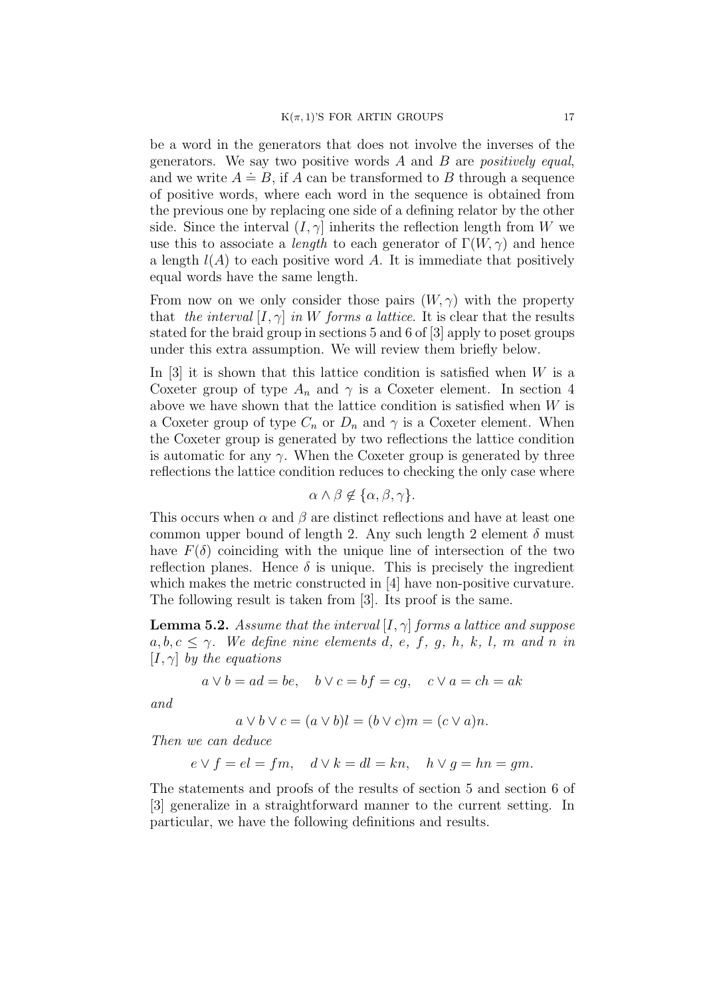be a word in the generators that does not involve the inverses of the generators. We say two positive words *A* and *B* are *positively equal*, and we write  $A \doteq B$ , if *A* can be transformed to *B* through a sequence of positive words, where each word in the sequence is obtained from the previous one by replacing one side of a defining relator by the other side. Since the interval  $(I, \gamma]$  inherits the reflection length from *W* we use this to associate a *length* to each generator of  $\Gamma(W, \gamma)$  and hence a length  $l(A)$  to each positive word A. It is immediate that positively equal words have the same length.

From now on we only consider those pairs  $(W, \gamma)$  with the property that *the interval*  $[I, \gamma]$  *in W forms a lattice*. It is clear that the results stated for the braid group in sections 5 and 6 of [3] apply to poset groups under this extra assumption. We will review them briefly below.

In [3] it is shown that this lattice condition is satisfied when *W* is a Coxeter group of type  $A_n$  and  $\gamma$  is a Coxeter element. In section 4 above we have shown that the lattice condition is satisfied when *W* is a Coxeter group of type  $C_n$  or  $D_n$  and  $\gamma$  is a Coxeter element. When the Coxeter group is generated by two reflections the lattice condition is automatic for any  $\gamma$ . When the Coxeter group is generated by three reflections the lattice condition reduces to checking the only case where

$$
\alpha \wedge \beta \notin \{\alpha, \beta, \gamma\}.
$$

This occurs when  $\alpha$  and  $\beta$  are distinct reflections and have at least one common upper bound of length 2. Any such length 2 element  $\delta$  must have  $F(\delta)$  coinciding with the unique line of intersection of the two reflection planes. Hence  $\delta$  is unique. This is precisely the ingredient which makes the metric constructed in [4] have non-positive curvature. The following result is taken from [3]. Its proof is the same.

**Lemma 5.2.** *Assume that the interval* [*I, γ*] *forms a lattice and suppose*  $a, b, c \leq \gamma$ *. We define nine elements d, e, f, g, h, k, l, m and n in* [*I, γ*] *by the equations*

$$
a \lor b = ad = be
$$
,  $b \lor c = bf = cg$ ,  $c \lor a = ch = ak$ 

*and*

$$
a \lor b \lor c = (a \lor b)l = (b \lor c)m = (c \lor a)n.
$$

*Then we can deduce*

$$
e \vee f = el = fm, \quad d \vee k = dl = kn, \quad h \vee g = hn = gm.
$$

The statements and proofs of the results of section 5 and section 6 of [3] generalize in a straightforward manner to the current setting. In particular, we have the following definitions and results.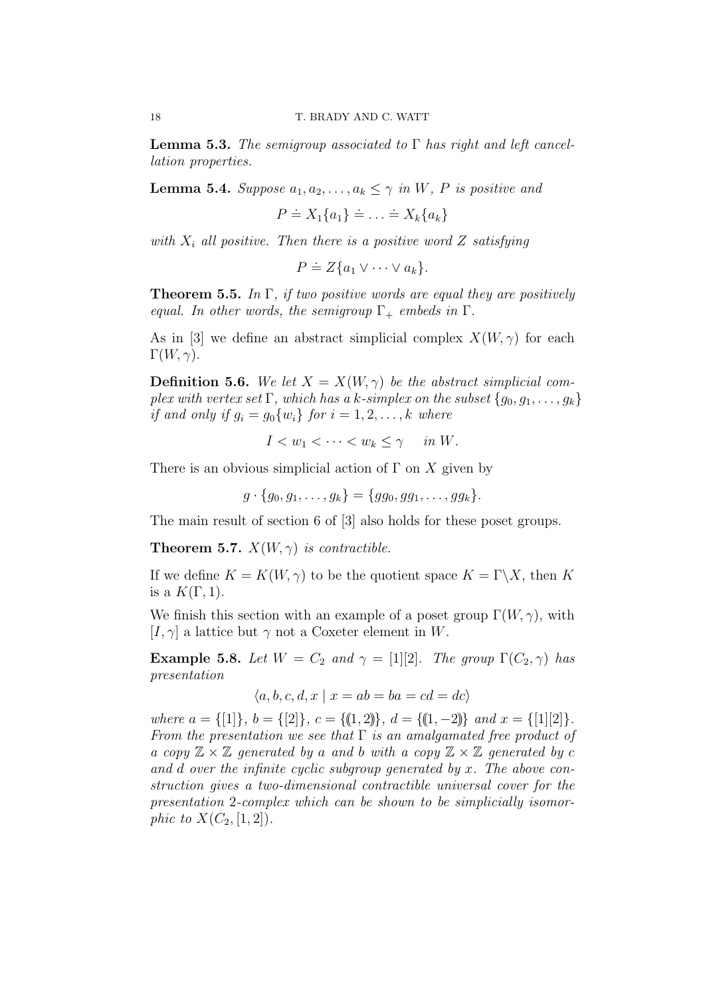**Lemma 5.3.** *The semigroup associated to* Γ *has right and left cancellation properties.*

**Lemma 5.4.** *Suppose*  $a_1, a_2, \ldots, a_k \leq \gamma$  *in W*, *P is positive and* 

 $P \doteq X_1\{a_1\} \doteq \ldots \doteq X_k\{a_k\}$ 

*with*  $X_i$  *all positive. Then there is a positive word*  $Z$  *satisfying* 

 $P \doteq Z \{a_1 \vee \cdots \vee a_k\}.$ 

**Theorem 5.5.** *In* Γ*, if two positive words are equal they are positively equal. In other words, the semigroup*  $\Gamma_+$  *embeds in*  $\Gamma$ *.* 

As in [3] we define an abstract simplicial complex  $X(W, \gamma)$  for each  $\Gamma(W, \gamma)$ .

**Definition 5.6.** *We let*  $X = X(W, \gamma)$  *be the abstract simplicial complex with vertex set*  $\Gamma$ *, which has a k-simplex on the subset*  $\{g_0, g_1, \ldots, g_k\}$ *if and only if*  $g_i = g_0\{w_i\}$  *for*  $i = 1, 2, \ldots, k$  *where* 

 $I \leq w_1 \leq \cdots \leq w_k \leq \gamma$  *in W.* 

There is an obvious simplicial action of  $\Gamma$  on  $X$  given by

 $g \cdot \{q_0, q_1, \ldots, q_k\} = \{q_{g_0}, q_{g_1}, \ldots, q_{g_k}\}.$ 

The main result of section 6 of [3] also holds for these poset groups.

**Theorem 5.7.**  $X(W, \gamma)$  *is contractible.* 

If we define  $K = K(W, \gamma)$  to be the quotient space  $K = \Gamma \backslash X$ , then K is a  $K(\Gamma, 1)$ .

We finish this section with an example of a poset group  $\Gamma(W, \gamma)$ , with  $[I, \gamma]$  a lattice but  $\gamma$  not a Coxeter element in *W*.

**Example 5.8.** *Let*  $W = C_2$  *and*  $\gamma = [1][2]$ *. The group*  $\Gamma(C_2, \gamma)$  *has presentation*

$$
\langle a, b, c, d, x \mid x = ab = ba = cd = dc \rangle
$$

where  $a = \{ [1] \}, b = \{ [2] \}, c = \{ (1, 2) \}, d = \{ (1, -2) \}$  and  $x = \{ [1] [2] \}.$ *From the presentation we see that* Γ *is an amalgamated free product of a copy*  $\mathbb{Z} \times \mathbb{Z}$  *generated by a and b with a copy*  $\mathbb{Z} \times \mathbb{Z}$  *generated by c and d over the infinite cyclic subgroup generated by x. The above construction gives a two-dimensional contractible universal cover for the presentation* 2*-complex which can be shown to be simplicially isomorphic to*  $X(C_2, [1, 2])$ *.*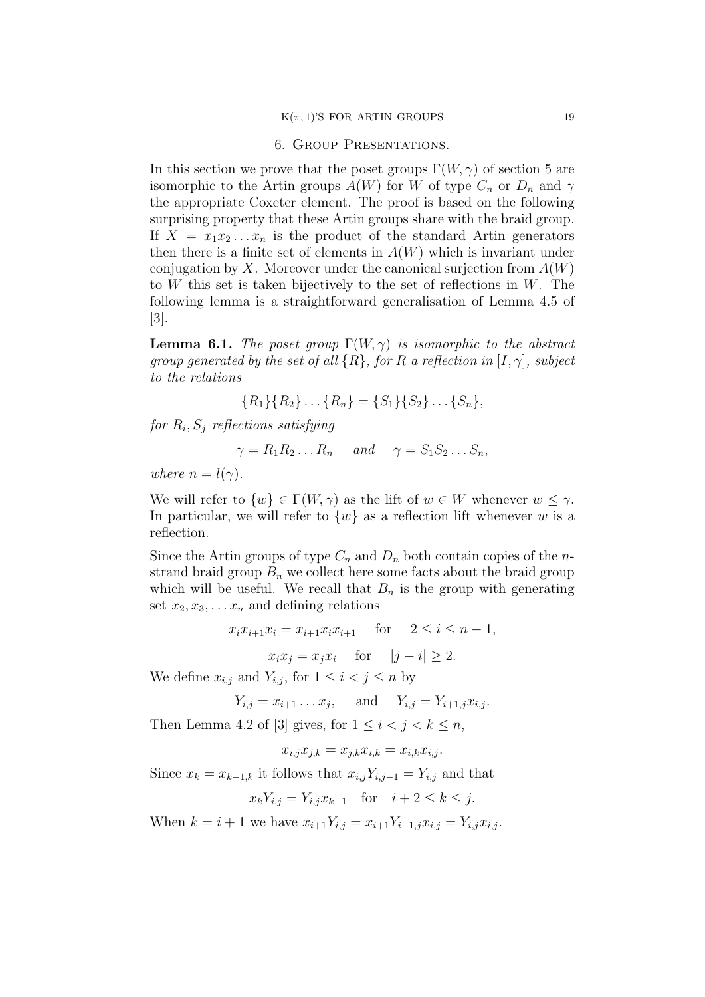### 6. Group Presentations.

In this section we prove that the poset groups  $\Gamma(W, \gamma)$  of section 5 are isomorphic to the Artin groups  $A(W)$  for W of type  $C_n$  or  $D_n$  and  $\gamma$ the appropriate Coxeter element. The proof is based on the following surprising property that these Artin groups share with the braid group. If  $X = x_1 x_2 \ldots x_n$  is the product of the standard Artin generators then there is a finite set of elements in  $A(W)$  which is invariant under conjugation by *X*. Moreover under the canonical surjection from  $A(W)$ to *W* this set is taken bijectively to the set of reflections in *W*. The following lemma is a straightforward generalisation of Lemma 4.5 of [3].

**Lemma 6.1.** *The poset group*  $\Gamma(W, \gamma)$  *is isomorphic to the abstract group generated by the set of all {R}, for R a reflection in* [*I, γ*]*, subject to the relations*

$$
{R_1}{R_2}\dots {R_n}={S_1}{S_2}\dots {S_n},
$$

*for R<sup>i</sup> , S<sup>j</sup> reflections satisfying*

 $\gamma = R_1 R_2 ... R_n$  *and*  $\gamma = S_1 S_2 ... S_n$ 

*where*  $n = l(\gamma)$ *.* 

We will refer to  $\{w\} \in \Gamma(W, \gamma)$  as the lift of  $w \in W$  whenever  $w \leq \gamma$ . In particular, we will refer to  $\{w\}$  as a reflection lift whenever *w* is a reflection.

Since the Artin groups of type  $C_n$  and  $D_n$  both contain copies of the *n*strand braid group  $B_n$  we collect here some facts about the braid group which will be useful. We recall that  $B_n$  is the group with generating set  $x_2, x_3, \ldots, x_n$  and defining relations

$$
x_i x_{i+1} x_i = x_{i+1} x_i x_{i+1} \quad \text{for} \quad 2 \le i \le n-1,
$$
  

$$
x_i x_j = x_j x_i \quad \text{for} \quad |j-i| \ge 2.
$$

We define  $x_{i,j}$  and  $Y_{i,j}$ , for  $1 \leq i < j \leq n$  by

$$
Y_{i,j} = x_{i+1} \dots x_j
$$
, and  $Y_{i,j} = Y_{i+1,j} x_{i,j}$ .

Then Lemma 4.2 of [3] gives, for  $1 \leq i < j < k \leq n$ ,

$$
x_{i,j}x_{j,k} = x_{j,k}x_{i,k} = x_{i,k}x_{i,j}.
$$

Since  $x_k = x_{k-1,k}$  it follows that  $x_{i,j}Y_{i,j-1} = Y_{i,j}$  and that

$$
x_k Y_{i,j} = Y_{i,j} x_{k-1} \quad \text{for} \quad i+2 \le k \le j.
$$

When  $k = i + 1$  we have  $x_{i+1}Y_{i,j} = x_{i+1}Y_{i+1,j}x_{i,j} = Y_{i,j}x_{i,j}$ .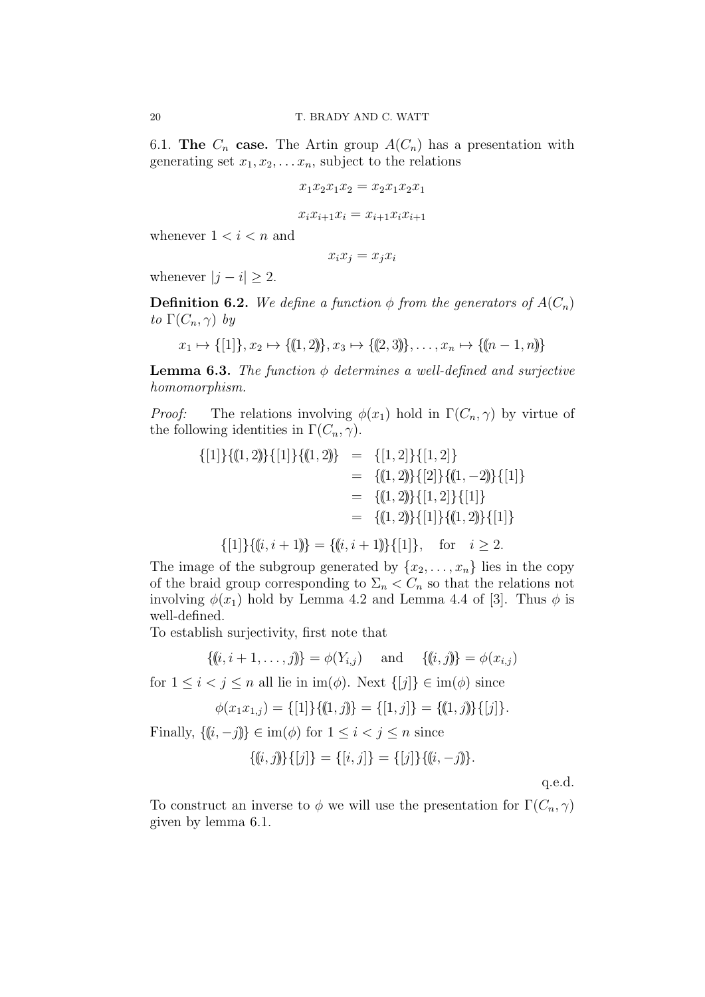6.1. **The**  $C_n$  **case.** The Artin group  $A(C_n)$  has a presentation with generating set  $x_1, x_2, \ldots, x_n$ , subject to the relations

$$
x_1 x_2 x_1 x_2 = x_2 x_1 x_2 x_1
$$

$$
x_i x_{i+1} x_i = x_{i+1} x_i x_{i+1}
$$

whenever  $1 < i < n$  and

$$
x_i x_j = x_j x_i
$$

whenever  $|j - i| \geq 2$ .

**Definition 6.2.** *We define a function*  $\phi$  *from the generators of*  $A(C_n)$ *to*  $\Gamma(C_n, \gamma)$  *by* 

$$
x_1 \mapsto \{[1]\}, x_2 \mapsto \{([1,2)]\}, x_3 \mapsto \{([2,3)]\}, \dots, x_n \mapsto \{([n-1,n)]\}
$$

**Lemma 6.3.** *The function ϕ determines a well-defined and surjective homomorphism.*

*Proof:* The relations involving  $\phi(x_1)$  hold in  $\Gamma(C_n, \gamma)$  by virtue of the following identities in  $\Gamma(C_n, \gamma)$ .

$$
\begin{aligned}\n\{[1]\}\{(1,2)\}\{[1]\}\{(1,2)\} &= \{[1,2]\}\{[1,2]\} \\
&= \{(1,2)\}\{[2]\}\{(1,-2)\}\{[1]\} \\
&= \{(1,2)\}\{[1,2]\}\{[1]\} \\
&= \{(1,2)\}\{[1]\}\{(1,2)\}\{[1]\} \\
&= \{(1,2)\}\{[1]\}\{(1,2)\}\{[1]\}\n\end{aligned}
$$

$$
\{[1]\}\{(\!(i, i+1)\!) = \{(\!(i, i+1)\!)\}\{[1]\}, \text{ for } i \geq 2.
$$

The image of the subgroup generated by  $\{x_2, \ldots, x_n\}$  lies in the copy of the braid group corresponding to  $\Sigma_n < C_n$  so that the relations not involving  $\phi(x_1)$  hold by Lemma 4.2 and Lemma 4.4 of [3]. Thus  $\phi$  is well-defined.

To establish surjectivity, first note that

$$
\{(i, i+1, \ldots, j)\} = \phi(Y_{i,j}) \quad \text{and} \quad \{(i, j)\} = \phi(x_{i,j})
$$

for  $1 \leq i < j \leq n$  all lie in im( $\phi$ ). Next  $\{[j]\}\in \text{im}(\phi)$  since

$$
\phi(x_1x_{1,j}) = \{ [1] \} \{([1,j]) = \{ [1,j] \} = \{([1,j]) \} \{ [j] \}.
$$

Finally,  $\{(i, -j)\}\in \text{im}(\phi)$  for  $1 \leq i < j \leq n$  since

$$
\{(i,j)\}\{[j]\} = \{[i,j]\} = \{[j]\}\{(i,-j)\}.
$$

q.e.d.

To construct an inverse to  $\phi$  we will use the presentation for  $\Gamma(C_n, \gamma)$ given by lemma 6.1.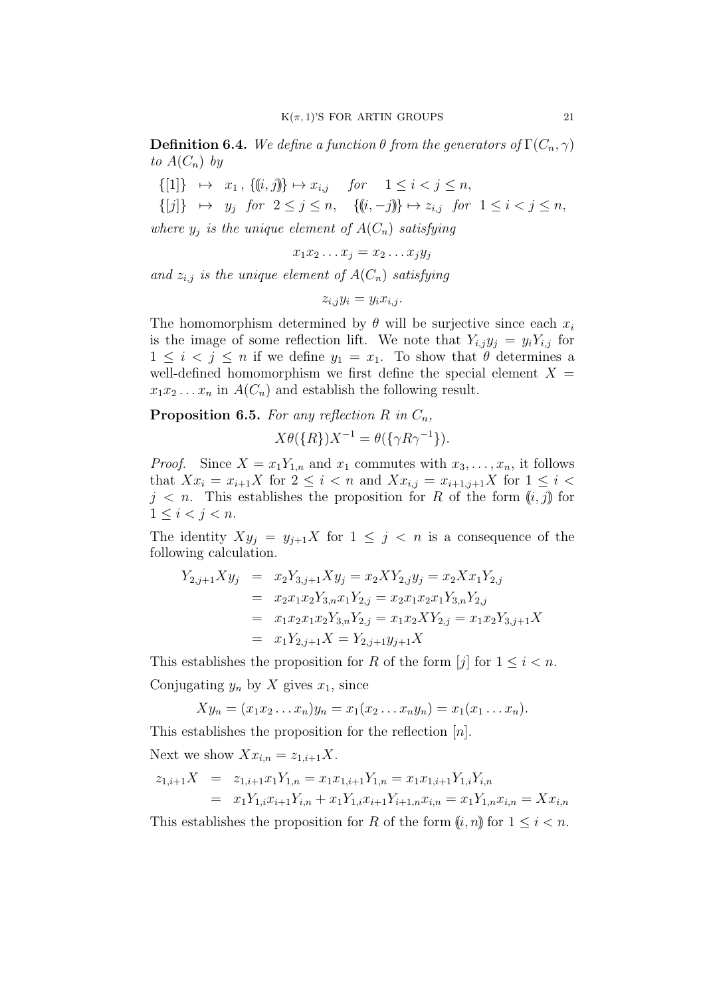**Definition 6.4.** We define a function  $\theta$  from the generators of  $\Gamma(C_n, \gamma)$ to  $A(C_n)$  by

 $\{ [1] \} \mapsto x_1, \{ (i, j) \} \mapsto x_{i,j}$  *for*  $1 \leq i \leq j \leq n$ ,  $\{ [j] \} \mapsto y_j$  *for*  $2 \leq j \leq n$ ,  $\{ (i, -j) \} \mapsto z_{i,j}$  *for*  $1 \leq i < j \leq n$ ,

*where*  $y_j$  *is the unique element of*  $A(C_n)$  *satisfying* 

$$
x_1x_2\ldots x_j=x_2\ldots x_jy_j
$$

and  $z_{i,j}$  *is the unique element of*  $A(C_n)$  *satisfying* 

$$
z_{i,j}y_i = y_ix_{i,j}.
$$

The homomorphism determined by  $\theta$  will be surjective since each  $x_i$ is the image of some reflection lift. We note that  $Y_{i,j}y_j = y_iY_{i,j}$  for  $1 \leq i \leq j \leq n$  if we define  $y_1 = x_1$ . To show that  $\theta$  determines a well-defined homomorphism we first define the special element  $X =$  $x_1x_2...x_n$  in  $A(C_n)$  and establish the following result.

# **Proposition 6.5.** *For any reflection*  $R$  *in*  $C_n$ *,*

$$
X\theta({R})X^{-1} = \theta({\lbrace \gamma R\gamma^{-1} \rbrace}).
$$

*Proof.* Since  $X = x_1 Y_{1,n}$  and  $x_1$  commutes with  $x_3, \ldots, x_n$ , it follows that  $Xx_i = x_{i+1}X$  for  $2 \leq i < n$  and  $Xx_{i,j} = x_{i+1,j+1}X$  for  $1 \leq i <$  $j \leq n$ . This establishes the proposition for *R* of the form  $(i, j)$  for  $1 \leq i \leq j \leq n$ .

The identity  $Xy_j = y_{j+1}X$  for  $1 \leq j \leq n$  is a consequence of the following calculation.

$$
Y_{2,j+1}Xy_j = x_2Y_{3,j+1}Xy_j = x_2XY_{2,j}y_j = x_2Xx_1Y_{2,j}
$$
  
\n
$$
= x_2x_1x_2Y_{3,n}x_1Y_{2,j} = x_2x_1x_2x_1Y_{3,n}Y_{2,j}
$$
  
\n
$$
= x_1x_2x_1x_2Y_{3,n}Y_{2,j} = x_1x_2XY_{2,j} = x_1x_2Y_{3,j+1}X
$$
  
\n
$$
= x_1Y_{2,j+1}X = Y_{2,j+1}y_{j+1}X
$$

This establishes the proposition for *R* of the form [*j*] for  $1 \leq i \leq n$ . Conjugating  $y_n$  by  $X$  gives  $x_1$ , since

$$
Xy_n = (x_1x_2...x_n)y_n = x_1(x_2...x_ny_n) = x_1(x_1...x_n).
$$

This establishes the proposition for the reflection [*n*].

Next we show  $Xx_{i,n} = z_{1,i+1}X$ .

$$
z_{1,i+1}X = z_{1,i+1}x_1Y_{1,n} = x_1x_{1,i+1}Y_{1,n} = x_1x_{1,i+1}Y_{1,i}Y_{i,n}
$$
  
=  $x_1Y_{1,i}x_{i+1}Y_{i,n} + x_1Y_{1,i}x_{i+1}Y_{i+1,n}x_{i,n} = x_1Y_{1,n}x_{i,n} = Xx_{i,n}$ 

This establishes the proposition for *R* of the form  $(i, n)$  for  $1 \leq i \leq n$ .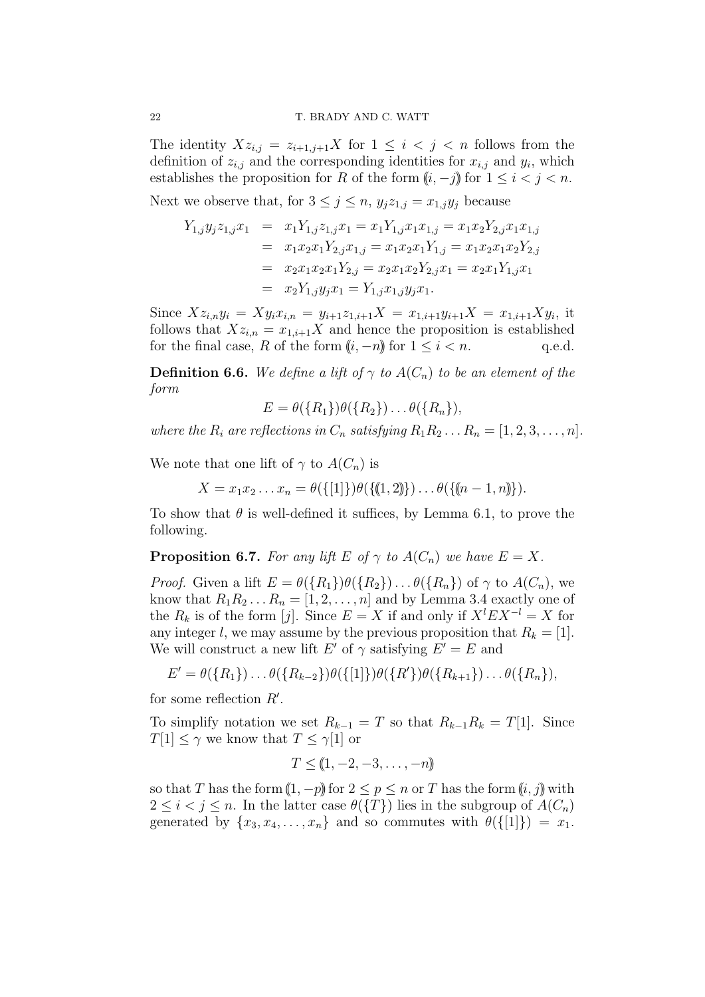The identity  $Xz_{i,j} = z_{i+1,j+1}X$  for  $1 \leq i \leq j \leq n$  follows from the definition of  $z_{i,j}$  and the corresponding identities for  $x_{i,j}$  and  $y_i$ , which establishes the proposition for *R* of the form  $(i, -j)$  for  $1 \leq i < j < n$ .

Next we observe that, for  $3 \leq j \leq n$ ,  $y_i z_{1,i} = x_{1,i} y_i$  because

$$
Y_{1,j}y_jz_{1,j}x_1 = x_1Y_{1,j}z_{1,j}x_1 = x_1Y_{1,j}x_1x_{1,j} = x_1x_2Y_{2,j}x_1x_{1,j}
$$
  
\n
$$
= x_1x_2x_1Y_{2,j}x_{1,j} = x_1x_2x_1Y_{1,j} = x_1x_2x_1x_2Y_{2,j}
$$
  
\n
$$
= x_2x_1x_2x_1Y_{2,j} = x_2x_1x_2Y_{2,j}x_1 = x_2x_1Y_{1,j}x_1
$$
  
\n
$$
= x_2Y_{1,j}y_jx_1 = Y_{1,j}x_{1,j}y_jx_1.
$$

Since  $Xz_{i,n}y_i = Xy_ix_{i,n} = y_{i+1}z_{1,i+1}X = x_{1,i+1}y_{i+1}X = x_{1,i+1}Xy_i$ , it follows that  $Xz_{i,n} = x_{1,i+1}X$  and hence the proposition is established for the final case, *R* of the form  $(i, -n)$  for  $1 \leq i \leq n$ . q.e.d.

**Definition 6.6.** *We define a lift of*  $\gamma$  *to*  $A(C_n)$  *to be an element of the form*

 $E = \theta({R_1})\theta({R_2})\dots\theta({R_n}),$ 

*where the*  $R_i$  *are reflections in*  $C_n$  *satisfying*  $R_1 R_2 \ldots R_n = [1, 2, 3, \ldots, n]$ *.* 

We note that one lift of  $\gamma$  to  $A(C_n)$  is

 $X = x_1 x_2 \ldots x_n = \theta({\{[1]\}})\theta({\{(1,2)\}}) \ldots \theta({\{(n-1,n)\}}).$ 

To show that  $\theta$  is well-defined it suffices, by Lemma 6.1, to prove the following.

**Proposition 6.7.** *For any lift*  $E$  *of*  $\gamma$  *to*  $A(C_n)$  *we have*  $E = X$ *.* 

*Proof.* Given a lift  $E = \theta({R_1})\theta({R_2})\dots\theta({R_n})$  of  $\gamma$  to  $A(C_n)$ , we know that  $R_1 R_2 \ldots R_n = [1, 2, \ldots, n]$  and by Lemma 3.4 exactly one of the  $R_k$  is of the form [*j*]. Since  $E = X$  if and only if  $X^l EX^{-l} = X$  for any integer *l*, we may assume by the previous proposition that  $R_k = [1]$ . We will construct a new lift  $E'$  of  $\gamma$  satisfying  $E' = E$  and

$$
E' = \theta({R_1}) \dots \theta({R_{k-2}})\theta({[1]})\theta({R'})\theta({R_{k+1}}) \dots \theta({R_n}),
$$

for some reflection *R′* .

To simplify notation we set  $R_{k-1} = T$  so that  $R_{k-1}R_k = T[1]$ . Since *T*[1]  $\leq \gamma$  we know that  $T \leq \gamma$ [1] or

$$
T \leq (\!\!\begin{array}{c}\! (1, -2, -3, \ldots, -n)\!\!\end{array})
$$

so that *T* has the form  $(1, -p)$  for  $2 \le p \le n$  or *T* has the form  $(i, j)$  with  $2 \leq i \leq j \leq n$ . In the latter case  $\theta({T})$  lies in the subgroup of  $A(C_n)$ generated by  $\{x_3, x_4, \ldots, x_n\}$  and so commutes with  $\theta({\{|1|\}}) = x_1$ .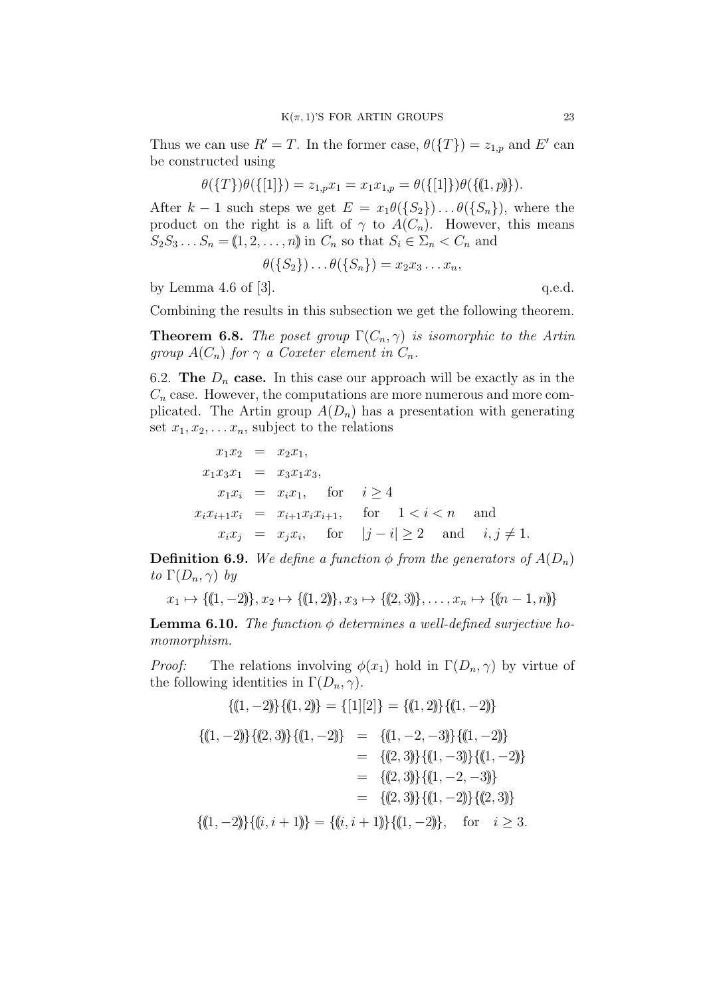Thus we can use  $R' = T$ . In the former case,  $\theta(\lbrace T \rbrace) = z_{1,p}$  and  $E'$  can be constructed using

$$
\theta(\{T\})\theta(\{[1]\}) = z_{1,p}x_1 = x_1x_{1,p} = \theta(\{[1]\})\theta(\{(1,p)\}).
$$

After  $k - 1$  such steps we get  $E = x_1 \theta(\{S_2\}) \dots \theta(\{S_n\})$ , where the product on the right is a lift of  $\gamma$  to  $A(C_n)$ . However, this means  $S_2 S_3 \ldots S_n = (1, 2, \ldots, n)$  in  $C_n$  so that  $S_i \in \Sigma_n < C_n$  and

$$
\theta(\{S_2\})\dots\theta(\{S_n\})=x_2x_3\dots x_n,
$$

by Lemma 4.6 of  $[3]$ . q.e.d.

Combining the results in this subsection we get the following theorem.

**Theorem 6.8.** *The poset group*  $\Gamma(C_n, \gamma)$  *is isomorphic to the Artin group*  $A(C_n)$  *for*  $\gamma$  *a Coxeter element in*  $C_n$ *.* 

6.2. **The**  $D_n$  **case.** In this case our approach will be exactly as in the  $C_n$  case. However, the computations are more numerous and more complicated. The Artin group  $A(D_n)$  has a presentation with generating set  $x_1, x_2, \ldots, x_n$ , subject to the relations

$$
x_1x_2 = x_2x_1,
$$
  
\n
$$
x_1x_3x_1 = x_3x_1x_3,
$$
  
\n
$$
x_1x_i = x_ix_1, \text{ for } i \ge 4
$$
  
\n
$$
x_ix_{i+1}x_i = x_{i+1}x_ix_{i+1}, \text{ for } 1 < i < n \text{ and}
$$
  
\n
$$
x_ix_j = x_jx_i, \text{ for } |j-i| \ge 2 \text{ and } i, j \ne 1.
$$

**Definition 6.9.** *We define a function*  $\phi$  *from the generators of*  $A(D_n)$ *to*  $\Gamma(D_n, \gamma)$  *by* 

$$
x_1 \mapsto \{(\!(1,-2)\!)\}, x_2 \mapsto \{(\!(1,2)\!)\}, x_3 \mapsto \{(\!(2,3)\!)\}, \ldots, x_n \mapsto \{(\!(n-1,n)\!)\}
$$

**Lemma 6.10.** *The function*  $\phi$  *determines* a well-defined surjective ho*momorphism.*

*Proof:* The relations involving  $\phi(x_1)$  hold in  $\Gamma(D_n, \gamma)$  by virtue of the following identities in  $\Gamma(D_n, \gamma)$ .

$$
\{(1, -2)\}\{(1, 2)\} = \{[1][2]\} = \{(1, 2)\}\{(1, -2)\}
$$

$$
\{(1, -2)\}\{(2, 3)\}\{(1, -2)\} = \{(1, -2, -3)\}\{(1, -2)\}
$$

$$
= \{(2, 3)\}\{(1, -3)\}\{(1, -2)\}
$$

$$
= \{(2, 3)\}\{(1, -2, -3)\}
$$

$$
= \{(2, 3)\}\{(1, -2, -3)\}
$$

$$
= \{(2, 3)\}\{(1, -2)\}\{(2, 3)\}
$$

$$
\{(1, -2)\}\{(i, i + 1)\} = \{(i, i + 1)\}\{(1, -2)\}, \text{ for } i \geq 3.
$$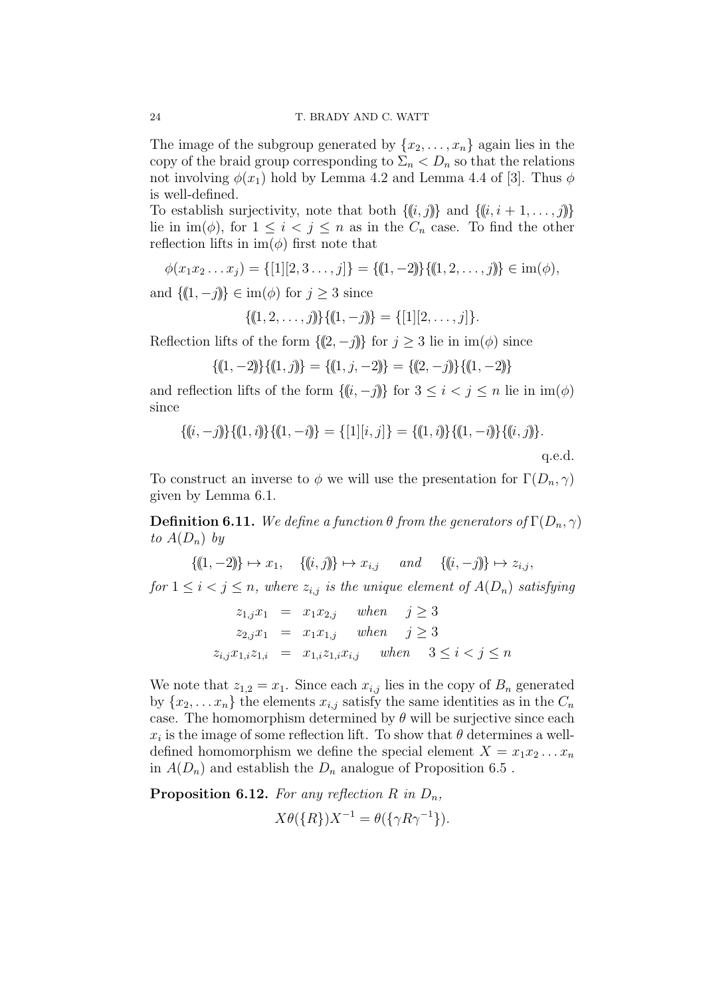The image of the subgroup generated by  $\{x_2, \ldots, x_n\}$  again lies in the copy of the braid group corresponding to  $\Sigma_n < D_n$  so that the relations not involving  $\phi(x_1)$  hold by Lemma 4.2 and Lemma 4.4 of [3]. Thus  $\phi$ is well-defined.

To establish surjectivity, note that both  $\{(i, j)\}$  and  $\{(i, i + 1, \ldots, j)\}$ lie in  $\text{im}(\phi)$ , for  $1 \leq i \leq j \leq n$  as in the  $C_n$  case. To find the other reflection lifts in  $\text{im}(\phi)$  first note that

 $\phi(x_1 x_2 \dots x_j) = \{ [1] [2, 3 \dots, j] \} = \{ (1, -2) \} \{ (1, 2, \dots, j) \} \in \text{im}(\phi),$ 

and  ${(1, -j)}$   $\in$  im( $\phi$ ) for  $j \geq 3$  since

$$
\{(1, 2, \ldots, j)\}\{(1, -j)\} = \{[1][2, \ldots, j]\}.
$$

Reflection lifts of the form  ${(2, −j)}$  for  $j ≥ 3$  lie in im( $\phi$ ) since

$$
\{(1, -2)\}\{(1, j)\} = \{(1, j, -2)\} = \{(2, -j)\}\{(1, -2)\}
$$

and reflection lifts of the form  $\{(i, -j)\}\$  for  $3 \leq i < j \leq n$  lie in  $\text{im}(\phi)$ since

$$
\{(i, -j)\}\{(1, i)\}\{(1, -i)\} = \{[1][i, j]\} = \{(1, i)\}\{(1, -i)\}\{(i, j)\}.
$$
\nq.e.d.

To construct an inverse to  $\phi$  we will use the presentation for  $\Gamma(D_n, \gamma)$ given by Lemma 6.1.

**Definition 6.11.** We define a function  $\theta$  from the generators of  $\Gamma(D_n, \gamma)$ *to*  $A(D_n)$  *by* 

$$
\{(1, -2)\} \mapsto x_1, \quad \{(i, j)\} \mapsto x_{i,j} \quad and \quad \{(i, -j)\} \mapsto z_{i,j},
$$
  
for  $1 \le i < j \le n$ , where  $z_{i,j}$  is the unique element of  $A(D_n)$  satisfying

$$
z_{1,j}x_1 = x_1x_{2,j} \quad when \quad j \ge 3
$$
  
\n
$$
z_{2,j}x_1 = x_1x_{1,j} \quad when \quad j \ge 3
$$
  
\n
$$
z_{i,j}x_{1,i}z_{1,i} = x_{1,i}z_{1,i}x_{i,j} \quad when \quad 3 \le i < j \le n
$$

We note that  $z_{1,2} = x_1$ . Since each  $x_{i,j}$  lies in the copy of  $B_n$  generated by  $\{x_2, \ldots, x_n\}$  the elements  $x_{i,j}$  satisfy the same identities as in the  $C_n$ case. The homomorphism determined by  $\theta$  will be surjective since each  $x_i$  is the image of some reflection lift. To show that  $\theta$  determines a welldefined homomorphism we define the special element  $X = x_1 x_2 \ldots x_n$ in  $A(D_n)$  and establish the  $D_n$  analogue of Proposition 6.5.

**Proposition 6.12.** *For any reflection*  $R$  *in*  $D_n$ *,* 

$$
X\theta({R})X^{-1} = \theta({\lbrace \gamma R\gamma^{-1} \rbrace}).
$$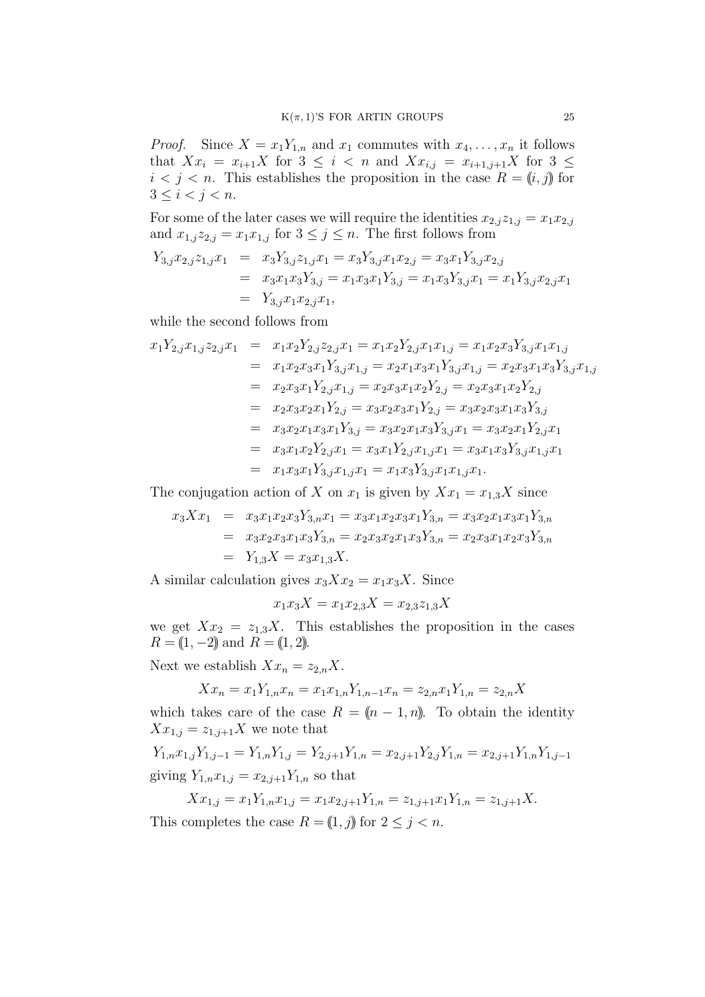*Proof.* Since  $X = x_1 Y_{1,n}$  and  $x_1$  commutes with  $x_4, \ldots, x_n$  it follows that  $Xx_i = x_{i+1}X$  for  $3 \leq i < n$  and  $Xx_{i,j} = x_{i+1,j+1}X$  for  $3 \leq$  $i < j < n$ . This establishes the proposition in the case  $R = (i, j)$  for  $3 \leq i < j < n$ .

For some of the later cases we will require the identities  $x_{2,j}z_{1,j} = x_1x_{2,j}$ and  $x_{1,j}z_{2,j} = x_1x_{1,j}$  for  $3 \leq j \leq n$ . The first follows from

$$
Y_{3,j}x_{2,j}z_{1,j}x_1 = x_3Y_{3,j}z_{1,j}x_1 = x_3Y_{3,j}x_1x_{2,j} = x_3x_1Y_{3,j}x_{2,j}
$$
  
=  $x_3x_1x_3Y_{3,j} = x_1x_3x_1Y_{3,j} = x_1x_3Y_{3,j}x_1 = x_1Y_{3,j}x_{2,j}x_1$   
=  $Y_{3,j}x_1x_{2,j}x_1$ ,

while the second follows from

$$
x_1 Y_{2,j} x_{1,j} z_{2,j} x_1 = x_1 x_2 Y_{2,j} z_{2,j} x_1 = x_1 x_2 Y_{2,j} x_1 x_{1,j} = x_1 x_2 x_3 Y_{3,j} x_1 x_{1,j}
$$
  
\n
$$
= x_1 x_2 x_3 x_1 Y_{3,j} x_{1,j} = x_2 x_1 x_3 x_1 Y_{3,j} x_{1,j} = x_2 x_3 x_1 x_3 Y_{3,j} x_{1,j}
$$
  
\n
$$
= x_2 x_3 x_1 Y_{2,j} x_{1,j} = x_2 x_3 x_1 x_2 Y_{2,j} = x_2 x_3 x_1 x_2 Y_{2,j}
$$
  
\n
$$
= x_2 x_3 x_2 x_1 Y_{2,j} = x_3 x_2 x_3 x_1 Y_{2,j} = x_3 x_2 x_3 x_1 x_3 Y_{3,j}
$$
  
\n
$$
= x_3 x_2 x_1 x_3 x_1 Y_{3,j} = x_3 x_2 x_1 x_3 Y_{3,j} x_1 = x_3 x_2 x_1 Y_{2,j} x_1
$$
  
\n
$$
= x_3 x_1 x_2 Y_{2,j} x_1 = x_3 x_1 Y_{2,j} x_{1,j} x_1 = x_3 x_1 x_3 Y_{3,j} x_{1,j} x_1
$$
  
\n
$$
= x_1 x_3 x_1 Y_{3,j} x_{1,j} x_1 = x_1 x_3 Y_{3,j} x_1 x_{1,j} x_1.
$$

The conjugation action of *X* on  $x_1$  is given by  $Xx_1 = x_{1,3}X$  since

$$
x_3 X x_1 = x_3 x_1 x_2 x_3 Y_{3,n} x_1 = x_3 x_1 x_2 x_3 x_1 Y_{3,n} = x_3 x_2 x_1 x_3 x_1 Y_{3,n}
$$
  
= 
$$
x_3 x_2 x_3 x_1 x_3 Y_{3,n} = x_2 x_3 x_2 x_1 x_3 Y_{3,n} = x_2 x_3 x_1 x_2 x_3 Y_{3,n}
$$
  
= 
$$
Y_{1,3} X = x_3 x_{1,3} X.
$$

A similar calculation gives  $x_3Xx_2 = x_1x_3X$ . Since

$$
x_1 x_3 X = x_1 x_{2,3} X = x_{2,3} z_{1,3} X
$$

we get  $Xx_2 = z_{1,3}X$ . This establishes the proposition in the cases  $R = (1, -2)$  and  $R = (1, 2)$ .

Next we establish  $Xx_n = z_{2,n}X$ .

$$
Xx_n = x_1Y_{1,n}x_n = x_1x_{1,n}Y_{1,n-1}x_n = z_{2,n}x_1Y_{1,n} = z_{2,n}X
$$

which takes care of the case  $R = (n-1, n)$ . To obtain the identity  $Xx_{1,j} = z_{1,j+1}X$  we note that

 $Y_{1,n}x_{1,j}Y_{1,j-1} = Y_{1,n}Y_{1,j} = Y_{2,j+1}Y_{1,n} = x_{2,j+1}Y_{2,j}Y_{1,n} = x_{2,j+1}Y_{1,n}Y_{1,j-1}$ giving  $Y_{1,n}x_{1,j} = x_{2,j+1}Y_{1,n}$  so that

 $Xx_{1,j} = x_1Y_{1,n}x_{1,j} = x_1x_{2,j+1}Y_{1,n} = z_{1,j+1}x_1Y_{1,n} = z_{1,j+1}X.$ This completes the case  $R = (1, j)$  for  $2 \le j < n$ .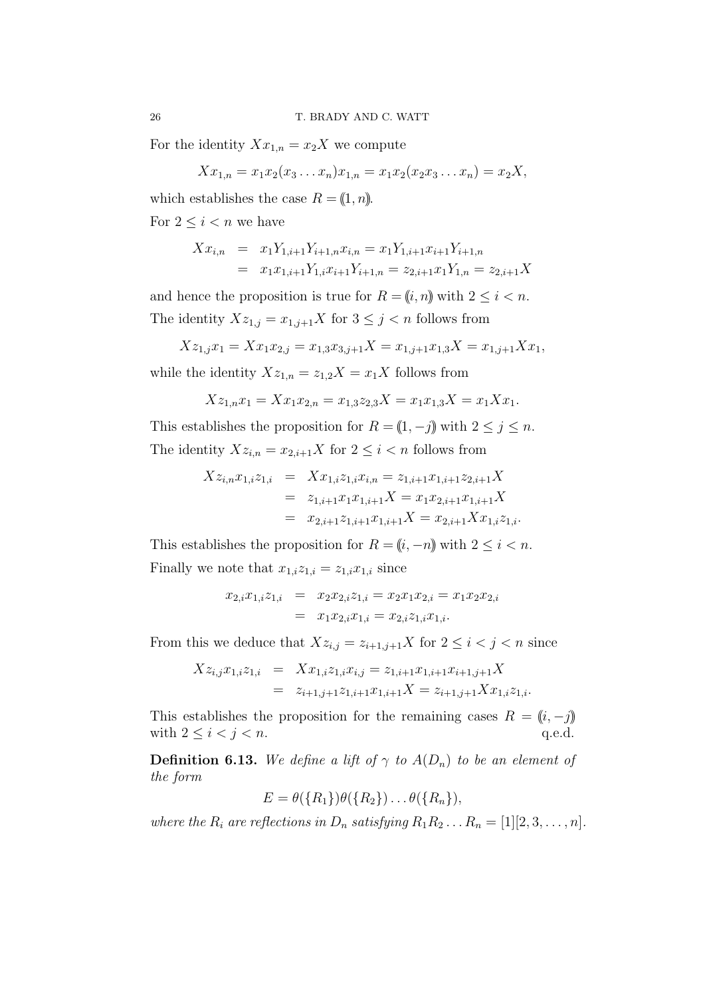For the identity  $Xx_{1,n} = x_2X$  we compute

$$
Xx_{1,n} = x_1x_2(x_3 \ldots x_n)x_{1,n} = x_1x_2(x_2x_3 \ldots x_n) = x_2X,
$$

which establishes the case  $R = (1, n)$ . For  $2 \leq i < n$  we have

$$
Xx_{i,n} = x_1 Y_{1,i+1} Y_{i+1,n} x_{i,n} = x_1 Y_{1,i+1} x_{i+1} Y_{i+1,n}
$$
  
=  $x_1 x_{1,i+1} Y_{1,i} x_{i+1} Y_{i+1,n} = z_{2,i+1} x_1 Y_{1,n} = z_{2,i+1} X$ 

and hence the proposition is true for  $R = (i, n)$  with  $2 \leq i < n$ . The identity  $Xz_{1,j} = x_{1,j+1}X$  for  $3 \leq j < n$  follows from

$$
Xz_{1,j}x_1 = Xx_1x_{2,j} = x_{1,3}x_{3,j+1}X = x_{1,j+1}x_{1,3}X = x_{1,j+1}Xx_1,
$$

while the identity  $Xz_{1,n} = z_{1,2}X = x_1X$  follows from

$$
Xz_{1,n}x_1 = Xx_1x_{2,n} = x_{1,3}z_{2,3}X = x_1x_{1,3}X = x_1Xx_1.
$$

This establishes the proposition for  $R = (1, -j)$  with  $2 \le j \le n$ . The identity  $Xz_{i,n} = x_{2,i+1}X$  for  $2 \leq i < n$  follows from

$$
Xz_{i,n}x_{1,i}z_{1,i} = Xx_{1,i}z_{1,i}x_{i,n} = z_{1,i+1}x_{1,i+1}z_{2,i+1}X
$$
  
=  $z_{1,i+1}x_1x_{1,i+1}X = x_1x_{2,i+1}x_{1,i+1}X$   
=  $x_{2,i+1}z_{1,i+1}x_{1,i+1}X = x_{2,i+1}Xx_{1,i}z_{1,i}.$ 

This establishes the proposition for  $R = (i, -n)$  with  $2 \leq i < n$ . Finally we note that  $x_{1,i}z_{1,i} = z_{1,i}x_{1,i}$  since

$$
x_{2,i}x_{1,i}z_{1,i} = x_2x_{2,i}z_{1,i} = x_2x_1x_{2,i} = x_1x_2x_{2,i}
$$
  
=  $x_1x_{2,i}x_{1,i} = x_{2,i}z_{1,i}x_{1,i}.$ 

From this we deduce that  $Xz_{i,j} = z_{i+1,j+1}X$  for  $2 \leq i < j < n$  since

$$
Xz_{i,j}x_{1,i}z_{1,i} = Xx_{1,i}z_{1,i}x_{i,j} = z_{1,i+1}x_{1,i+1}x_{i+1,j+1}X
$$
  
=  $z_{i+1,j+1}z_{1,i+1}x_{1,i+1}X = z_{i+1,j+1}Xx_{1,i}z_{1,i}.$ 

This establishes the proposition for the remaining cases  $R = (i, -j)$ with  $2 \leq i < j < n$ . q.e.d.

**Definition 6.13.** We define a lift of  $\gamma$  to  $A(D_n)$  to be an element of *the form*

 $E = \theta({R_1})\theta({R_2})\dots\theta({R_n}),$ 

*where the*  $R_i$  *are reflections in*  $D_n$  *satisfying*  $R_1 R_2 \ldots R_n = [1][2, 3, \ldots, n]$ *.*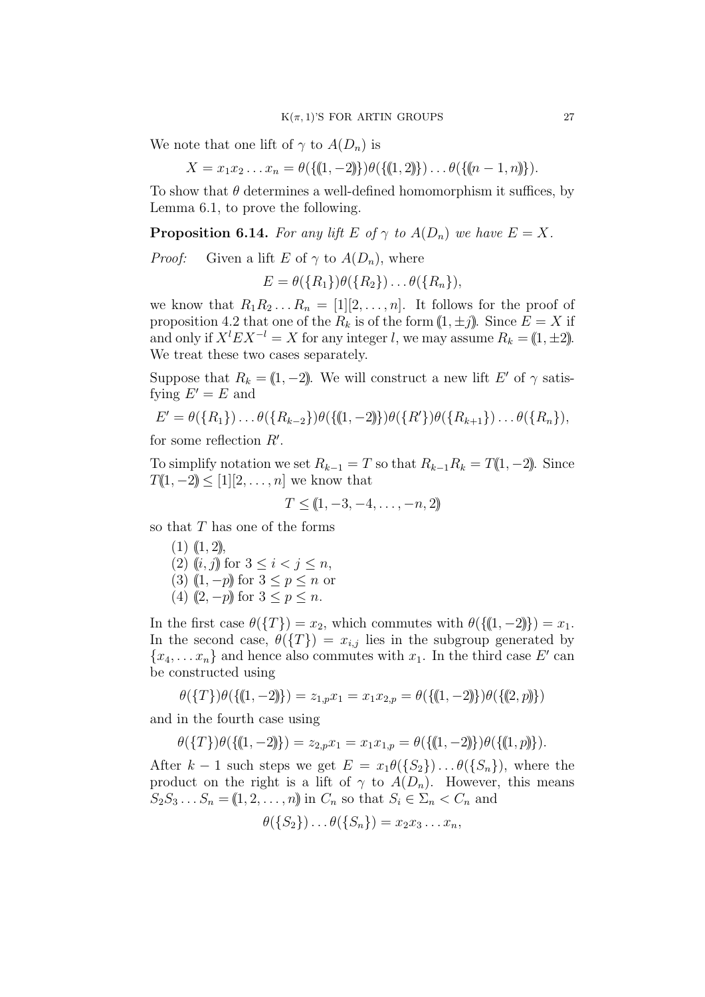We note that one lift of  $\gamma$  to  $A(D_n)$  is

$$
X = x_1 x_2 \dots x_n = \theta({(1, -2)})\theta({(1, 2)})\dots \theta({(n - 1, n)})\,.
$$

To show that  $\theta$  determines a well-defined homomorphism it suffices, by Lemma 6.1, to prove the following.

**Proposition 6.14.** For any lift  $E$  of  $\gamma$  to  $A(D_n)$  we have  $E = X$ .

*Proof:* Given a lift *E* of  $\gamma$  to  $A(D_n)$ , where

$$
E = \theta({R_1})\theta({R_2})\dots\theta({R_n}),
$$

we know that  $R_1R_2 \ldots R_n = [1][2,\ldots,n]$ . It follows for the proof of proposition 4.2 that one of the  $R_k$  is of the form  $(1, \pm j)$ . Since  $E = X$  if and only if  $X^{l}EX^{-l} = X$  for any integer *l*, we may assume  $R_k = (1, \pm 2)$ . We treat these two cases separately.

Suppose that  $R_k = (1, -2)$ . We will construct a new lift *E'* of  $\gamma$  satisfying  $E' = E$  and

$$
E' = \theta({R_1}) \dots \theta({R_{k-2}})\theta({(1,-2)})\theta({R'})\theta({R_{k+1}}) \dots \theta({R_n}),
$$

for some reflection *R′* .

To simplify notation we set  $R_{k-1} = T$  so that  $R_{k-1}R_k = T(1, -2)$ . Since  $T(1, -2) \leq [1][2, \ldots, n]$  we know that

$$
T \leq (1, -3, -4, \dots, -n, 2)
$$

so that *T* has one of the forms

- $(1)$   $(1, 2)$ , (2) ((*i*, *j*)) for  $3 \le i < j \le n$ ,  $(3)$  ((1, *−p*)) for  $3 < p < n$  or
- (4)  $(2, -p)$  for  $3 < p < n$ .

In the first case  $\theta({T}) = x_2$ , which commutes with  $\theta({(1, -2)}) = x_1$ . In the second case,  $\theta({T}) = x_{i,j}$  lies in the subgroup generated by  ${x_4, \ldots, x_n}$  and hence also commutes with  $x_1$ . In the third case *E'* can be constructed using

$$
\theta(\{T\})\theta(\{(1,-2)\}) = z_{1,p}x_1 = x_1x_{2,p} = \theta(\{(1,-2)\})\theta(\{(2,p)\})
$$

and in the fourth case using

$$
\theta({T})\theta({(1,-2)}) = z_{2,p}x_1 = x_1x_{1,p} = \theta({(1,-2)})\theta({(1,p)}).
$$

After  $k-1$  such steps we get  $E = x_1 \theta({S_2}) \dots \theta({S_n})$ , where the product on the right is a lift of  $\gamma$  to  $A(D_n)$ . However, this means  $S_2 S_3 \ldots S_n = (1, 2, \ldots, n)$  in  $C_n$  so that  $S_i \in \Sigma_n < C_n$  and

$$
\theta(\{S_2\})\dots\theta(\{S_n\})=x_2x_3\dots x_n,
$$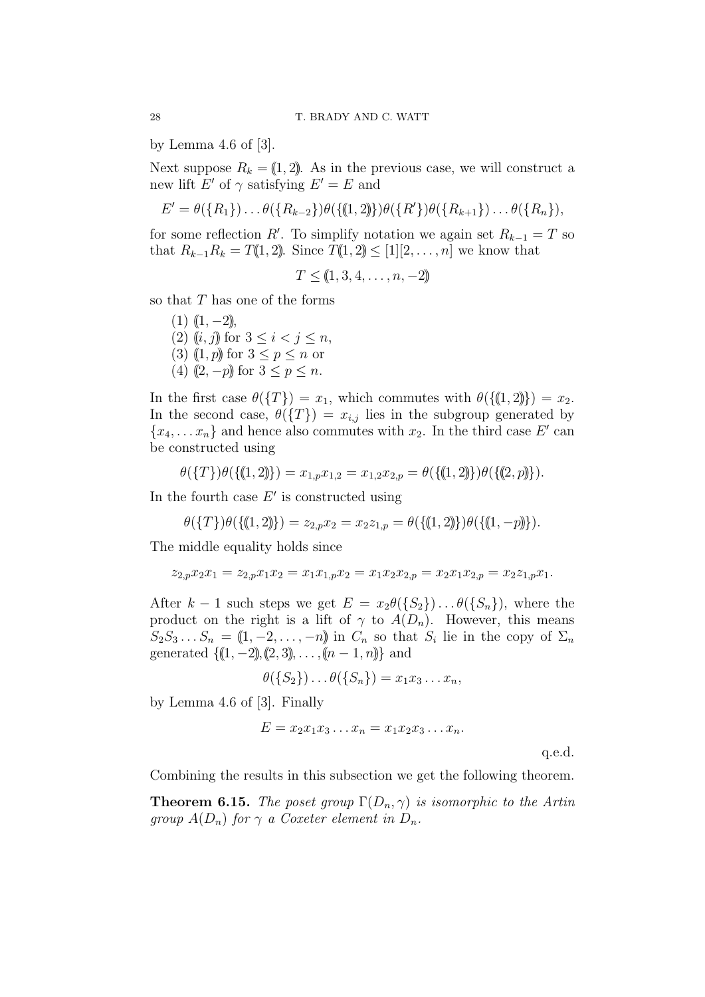by Lemma  $4.6$  of  $[3]$ .

Next suppose  $R_k = (1, 2)$ . As in the previous case, we will construct a new lift  $E'$  of  $\gamma$  satisfying  $E' = E$  and

$$
E' = \theta({R_1}) \dots \theta({R_{k-2}})\theta({(1,2)})\theta({R'})\theta({R_{k+1}}) \dots \theta({R_n}),
$$

for some reflection *R'*. To simplify notation we again set  $R_{k-1} = T$  so that  $R_{k-1}R_k = T(1, 2)$ . Since  $T(1, 2) \leq [1][2, ..., n]$  we know that

$$
T \leq (\!\!\left(1, 3, 4, \ldots, n, -2\!\!\right)\!\!\right)
$$

so that *T* has one of the forms

 $(1)$   $(1, -2)$ ), (2) (*i*, *j*)) for  $3 \le i < j \le n$ , (3) ((1, *p*)) for  $3 \le p \le n$  or (4)  $(2, -p)$  for  $3 \leq p \leq n$ .

In the first case  $\theta(\{T\}) = x_1$ , which commutes with  $\theta(\{(1, 2)\}) = x_2$ . In the second case,  $\theta({T}) = x_{i,j}$  lies in the subgroup generated by  ${x_4, \ldots, x_n}$  and hence also commutes with  $x_2$ . In the third case *E'* can be constructed using

$$
\theta(\{T\})\theta(\{(1,2)\}) = x_{1,p}x_{1,2} = x_{1,2}x_{2,p} = \theta(\{(1,2)\})\theta(\{(2,p)\}).
$$

In the fourth case *E′* is constructed using

$$
\theta(\{T\})\theta(\{(1,2)\}) = z_{2,p}x_2 = x_2z_{1,p} = \theta(\{(1,2)\})\theta(\{(1,-p)\}).
$$

The middle equality holds since

$$
z_{2,p}x_2x_1 = z_{2,p}x_1x_2 = x_1x_{1,p}x_2 = x_1x_2x_{2,p} = x_2x_1x_{2,p} = x_2z_{1,p}x_1.
$$

After  $k-1$  such steps we get  $E = x_2\theta(\{S_2\})\dots\theta(\{S_n\})$ , where the product on the right is a lift of  $\gamma$  to  $A(D_n)$ . However, this means  $S_2 S_3 \ldots S_n = (1, -2, \ldots, -n)$  in  $C_n$  so that  $S_i$  lie in the copy of  $\Sigma_n$ generated  $\{(1, -2), (2, 3), \ldots, (n-1, n)\}$  and

$$
\theta(\{S_2\})\dots\theta(\{S_n\})=x_1x_3\dots x_n,
$$

by Lemma 4.6 of [3]. Finally

$$
E = x_2 x_1 x_3 \dots x_n = x_1 x_2 x_3 \dots x_n.
$$

q.e.d.

Combining the results in this subsection we get the following theorem.

**Theorem 6.15.** *The poset group*  $\Gamma(D_n, \gamma)$  *is isomorphic to the Artin group*  $A(D_n)$  *for*  $\gamma$  *a Coxeter element in*  $D_n$ *.*